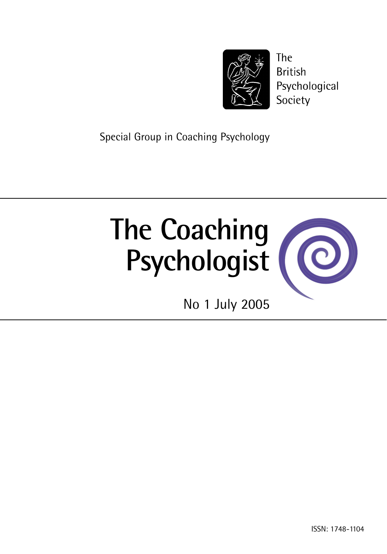

**The British** Psychological Society

Special Group in Coaching Psychology

# **The Coaching Psychologist**



No 1 July 2005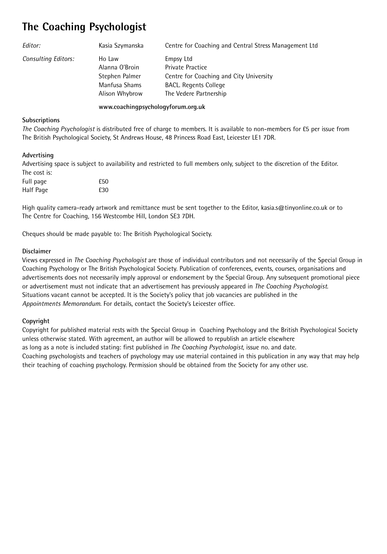### **The Coaching Psychologist**

| Editor:                    | Kasia Szymanska                                                               | Centre for Coaching and Central Stress Management Ltd                                                                                     |
|----------------------------|-------------------------------------------------------------------------------|-------------------------------------------------------------------------------------------------------------------------------------------|
| <b>Consulting Editors:</b> | Ho Law<br>Alanna O'Broin<br>Stephen Palmer<br>Manfusa Shams<br>Alison Whybrow | Empsy Ltd<br><b>Private Practice</b><br>Centre for Coaching and City University<br><b>BACL.</b> Regents College<br>The Vedere Partnership |

#### **www.coachingpsychologyforum.org.uk**

#### **Subscriptions**

*The Coaching Psychologist* is distributed free of charge to members. It is available to non-members for £5 per issue from The British Psychological Society, St Andrews House, 48 Princess Road East, Leicester LE1 7DR.

#### **Advertising**

Advertising space is subject to availability and restricted to full members only, subject to the discretion of the Editor. The cost is:

| Full page | £50 |
|-----------|-----|
| Half Page | £30 |

High quality camera-ready artwork and remittance must be sent together to the Editor, kasia.s@tinyonline.co.uk or to The Centre for Coaching, 156 Westcombe Hill, London SE3 7DH.

Cheques should be made payable to: The British Psychological Society.

#### **Disclaimer**

Views expressed in *The Coaching Psychologist* are those of individual contributors and not necessarily of the Special Group in Coaching Psychology or The British Psychological Society. Publication of conferences, events, courses, organisations and advertisements does not necessarily imply approval or endorsement by the Special Group. Any subsequent promotional piece or advertisement must not indicate that an advertisement has previously appeared in *The Coaching Psychologist*. Situations vacant cannot be accepted. It is the Society's policy that job vacancies are published in the *Appointments Memorandum*. For details, contact the Society's Leicester office.

#### **Copyright**

Copyright for published material rests with the Special Group in Coaching Psychology and the British Psychological Society unless otherwise stated. With agreement, an author will be allowed to republish an article elsewhere as long as a note is included stating: first published in *The Coaching Psychologist*, issue no. and date. Coaching psychologists and teachers of psychology may use material contained in this publication in any way that may help their teaching of coaching psychology. Permission should be obtained from the Society for any other use.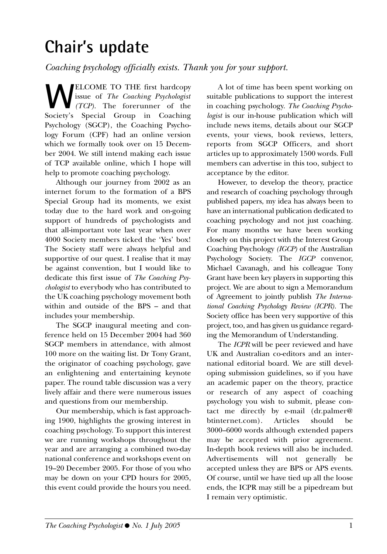## **Chair's update**

*Coaching psychology officially exists. Thank you for your support.*

**WELCOME TO THE first hardcopy**<br>issue of *The Coaching Psychologist*<br>Society's Special Group in Coaching issue of *The Coaching Psychologist (TCP)*. The forerunner of the Society's Special Group in Coaching Psychology (SGCP), the Coaching Psychology Forum (CPF) had an online version which we formally took over on 15 December 2004. We still intend making each issue of TCP available online, which I hope will help to promote coaching psychology.

Although our journey from 2002 as an internet forum to the formation of a BPS Special Group had its moments, we exist today due to the hard work and on-going support of hundreds of psychologists and that all-important vote last year when over 4000 Society members ticked the 'Yes' box! The Society staff were always helpful and supportive of our quest. I realise that it may be against convention, but I would like to dedicate this first issue of *The Coaching Psychologist* to everybody who has contributed to the UK coaching psychology movement both within and outside of the BPS – and that includes your membership.

The SGCP inaugural meeting and conference held on 15 December 2004 had 360 SGCP members in attendance, with almost 100 more on the waiting list. Dr Tony Grant, the originator of coaching psychology, gave an enlightening and entertaining keynote paper. The round table discussion was a very lively affair and there were numerous issues and questions from our membership.

Our membership, which is fast approaching 1900, highlights the growing interest in coaching psychology. To support this interest we are running workshops throughout the year and are arranging a combined two-day national conference and workshops event on 19–20 December 2005. For those of you who may be down on your CPD hours for 2005, this event could provide the hours you need.

A lot of time has been spent working on suitable publications to support the interest in coaching psychology. *The Coaching Psychologist* is our in-house publication which will include news items, details about our SGCP events, your views, book reviews, letters, reports from SGCP Officers, and short articles up to approximately 1500 words. Full members can advertise in this too, subject to acceptance by the editor.

However, to develop the theory, practice and research of coaching psychology through published papers, my idea has always been to have an international publication dedicated to coaching psychology and not just coaching. For many months we have been working closely on this project with the Interest Group Coaching Psychology *(IGCP)* of the Australian Psychology Society. The *IGCP* convenor, Michael Cavanagh, and his colleague Tony Grant have been key players in supporting this project. We are about to sign a Memorandum of Agreement to jointly publish *The International Coaching Psychology Review (ICPR)*. The Society office has been very supportive of this project, too, and has given us guidance regarding the Memorandum of Understanding.

The *ICPR* will be peer reviewed and have UK and Australian co-editors and an international editorial board. We are still developing submission guidelines, so if you have an academic paper on the theory, practice or research of any aspect of coaching psychology you wish to submit, please contact me directly by e-mail (dr.palmer@ btinternet.com). Articles should be 3000–6000 words although extended papers may be accepted with prior agreement. In-depth book reviews will also be included. Advertisements will not generally be accepted unless they are BPS or APS events. Of course, until we have tied up all the loose ends, the ICPR may still be a pipedream but I remain very optimistic.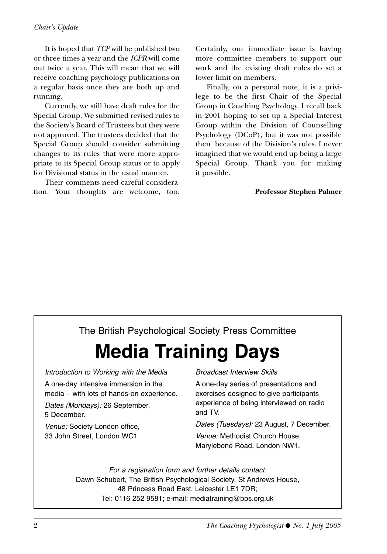#### *Chair's Update*

It is hoped that *TCP* will be published two or three times a year and the *ICPR* will come out twice a year. This will mean that we will receive coaching psychology publications on a regular basis once they are both up and running.

Currently, we still have draft rules for the Special Group. We submitted revised rules to the Society's Board of Trustees but they were not approved. The trustees decided that the Special Group should consider submitting changes to its rules that were more appropriate to its Special Group status or to apply for Divisional status in the usual manner.

Their comments need careful consideration. Your thoughts are welcome, too. Certainly, our immediate issue is having more committee members to support our work and the existing draft rules do set a lower limit on members.

Finally, on a personal note, it is a privilege to be the first Chair of the Special Group in Coaching Psychology. I recall back in 2001 hoping to set up a Special Interest Group within the Division of Counselling Psychology (DCoP), but it was not possible then because of the Division's rules. I never imagined that we would end up being a large Special Group. Thank you for making it possible.

#### **Professor Stephen Palmer**

#### The British Psychological Society Press Committee

## **Media Training Days**

Introduction to Working with the Media

A one-day intensive immersion in the media – with lots of hands-on experience.

Dates (Mondays): 26 September, 5 December.

Venue: Society London office, 33 John Street, London WC1

Broadcast Interview Skills

A one-day series of presentations and exercises designed to give participants experience of being interviewed on radio and TV.

Dates (Tuesdays): 23 August, 7 December. Venue: Methodist Church House, Marylebone Road, London NW1.

For a registration form and further details contact: Dawn Schubert, The British Psychological Society, St Andrews House, 48 Princess Road East, Leicester LE1 7DR; Tel: 0116 252 9581; e-mail: mediatraining@bps.org.uk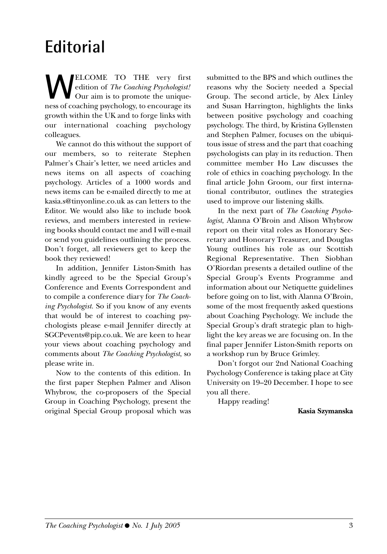## **Editorial**

**W**ELCOME TO THE very first edition of *The Coaching Psychologist!* Our aim is to promote the uniqueness of coaching psychology, to encourage its growth within the UK and to forge links with our international coaching psychology colleagues.

We cannot do this without the support of our members, so to reiterate Stephen Palmer's Chair's letter, we need articles and news items on all aspects of coaching psychology. Articles of a 1000 words and news items can be e-mailed directly to me at kasia.s@tinyonline.co.uk as can letters to the Editor. We would also like to include book reviews, and members interested in reviewing books should contact me and I will e-mail or send you guidelines outlining the process. Don't forget, all reviewers get to keep the book they reviewed!

In addition, Jennifer Liston-Smith has kindly agreed to be the Special Group's Conference and Events Correspondent and to compile a conference diary for *The Coaching Psychologist.* So if you know of any events that would be of interest to coaching psychologists please e-mail Jennifer directly at SGCPevents@pip.co.uk. We are keen to hear your views about coaching psychology and comments about *The Coaching Psychologist*, so please write in.

Now to the contents of this edition. In the first paper Stephen Palmer and Alison Whybrow, the co-proposers of the Special Group in Coaching Psychology, present the original Special Group proposal which was

submitted to the BPS and which outlines the reasons why the Society needed a Special Group. The second article, by Alex Linley and Susan Harrington, highlights the links between positive psychology and coaching psychology. The third, by Kristina Gyllensten and Stephen Palmer, focuses on the ubiquitous issue of stress and the part that coaching psychologists can play in its reduction. Then committee member Ho Law discusses the role of ethics in coaching psychology. In the final article John Groom, our first international contributor, outlines the strategies used to improve our listening skills.

In the next part of *The Coaching Psychologist*, Alanna O'Broin and Alison Whybrow report on their vital roles as Honorary Secretary and Honorary Treasurer, and Douglas Young outlines his role as our Scottish Regional Representative. Then Siobhan O'Riordan presents a detailed outline of the Special Group's Events Programme and information about our Netiquette guidelines before going on to list, with Alanna O'Broin, some of the most frequently asked questions about Coaching Psychology. We include the Special Group's draft strategic plan to highlight the key areas we are focusing on. In the final paper Jennifer Liston-Smith reports on a workshop run by Bruce Grimley.

Don't forgot our 2nd National Coaching Psychology Conference is taking place at City University on 19–20 December. I hope to see you all there.

Happy reading!

**Kasia Szymanska**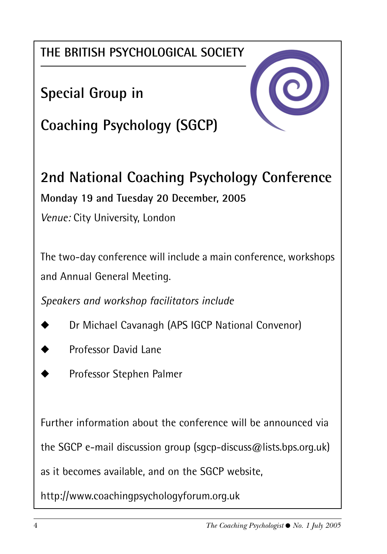**THE BRITISH PSYCHOLOGICAL SOCIETY**

**Special Group in** 



**Coaching Psychology (SGCP)**

**2nd National Coaching Psychology Conference Monday 19 and Tuesday 20 December, 2005**

*Venue:* City University, London

The two-day conference will include a main conference, workshops and Annual General Meeting.

*Speakers and workshop facilitators include*

- Dr Michael Cavanagh (APS IGCP National Convenor)
- Professor David Lane
- Professor Stephen Palmer

Further information about the conference will be announced via the SGCP e-mail discussion group (sgcp-discuss@lists.bps.org.uk) as it becomes available, and on the SGCP website,

http://www.coachingpsychologyforum.org.uk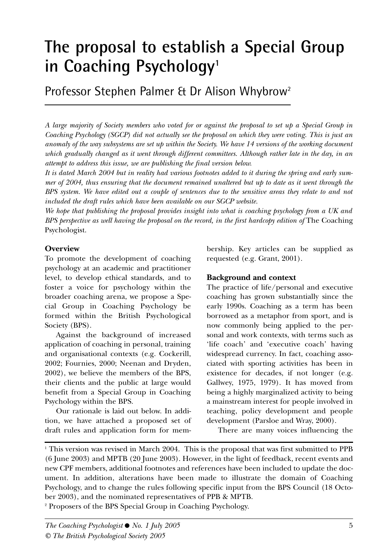## **The proposal to establish a Special Group** in Coaching Psychology<sup>1</sup>

Professor Stephen Palmer & Dr Alison Whybrow2

*A large majority of Society members who voted for or against the proposal to set up a Special Group in Coaching Psychology (SGCP) did not actually see the proposal on which they were voting. This is just an anomaly of the way subsystems are set up within the Society. We have 14 versions of the working document which gradually changed as it went through different committees. Although rather late in the day, in an attempt to address this issue, we are publishing the final version below.* 

*It is dated March 2004 but in reality had various footnotes added to it during the spring and early summer of 2004, thus ensuring that the document remained unaltered but up to date as it went through the BPS system. We have edited out a couple of sentences due to the sensitive areas they relate to and not included the draft rules which have been available on our SGCP website.*

*We hope that publishing the proposal provides insight into what is coaching psychology from a UK and BPS perspective as well having the proposal on the record, in the first hardcopy edition of* The Coaching Psychologist.

#### **Overview**

To promote the development of coaching psychology at an academic and practitioner level, to develop ethical standards, and to foster a voice for psychology within the broader coaching arena, we propose a Special Group in Coaching Psychology be formed within the British Psychological Society (BPS).

Against the background of increased application of coaching in personal, training and organisational contexts (e.g. Cockerill, 2002; Fournies, 2000; Neenan and Dryden, 2002), we believe the members of the BPS, their clients and the public at large would benefit from a Special Group in Coaching Psychology within the BPS.

Our rationale is laid out below. In addition, we have attached a proposed set of draft rules and application form for membership. Key articles can be supplied as requested (e.g. Grant, 2001).

#### **Background and context**

The practice of life/personal and executive coaching has grown substantially since the early 1990s. Coaching as a term has been borrowed as a metaphor from sport, and is now commonly being applied to the personal and work contexts, with terms such as 'life coach' and 'executive coach' having widespread currency. In fact, coaching associated with sporting activities has been in existence for decades, if not longer (e.g. Gallwey, 1975, 1979). It has moved from being a highly marginalized activity to being a mainstream interest for people involved in teaching, policy development and people development (Parsloe and Wray, 2000).

There are many voices influencing the

<sup>2</sup> Proposers of the BPS Special Group in Coaching Psychology.

<sup>1</sup> This version was revised in March 2004. This is the proposal that was first submitted to PPB (6 June 2003) and MPTB (20 June 2003). However, in the light of feedback, recent events and new CPF members, additional footnotes and references have been included to update the document. In addition, alterations have been made to illustrate the domain of Coaching Psychology, and to change the rules following specific input from the BPS Council (18 October 2003), and the nominated representatives of PPB & MPTB.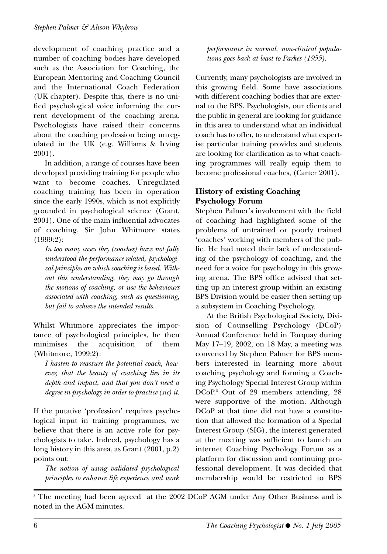development of coaching practice and a number of coaching bodies have developed such as the Association for Coaching, the European Mentoring and Coaching Council and the International Coach Federation (UK chapter). Despite this, there is no unified psychological voice informing the current development of the coaching arena. Psychologists have raised their concerns about the coaching profession being unregulated in the UK (e.g. Williams & Irving 2001).

In addition, a range of courses have been developed providing training for people who want to become coaches. Unregulated coaching training has been in operation since the early 1990s, which is not explicitly grounded in psychological science (Grant, 2001). One of the main influential advocates of coaching, Sir John Whitmore states (1999:2):

*In too many cases they (coaches) have not fully understood the performance-related, psychological principles on which coaching is based. Without this understanding, they may go through the motions of coaching, or use the behaviours associated with coaching, such as questioning, but fail to achieve the intended results.*

Whilst Whitmore appreciates the importance of psychological principles, he then minimises the acquisition of them (Whitmore, 1999:2):

*I hasten to reassure the potential coach, however, that the beauty of coaching lies in its depth and impact, and that you don't need a degree in psychology in order to practice (sic) it.*

If the putative 'profession' requires psychological input in training programmes, we believe that there is an active role for psychologists to take. Indeed, psychology has a long history in this area, as Grant (2001, p.2) points out:

*The notion of using validated psychological principles to enhance life experience and work* *performance in normal, non-clinical populations goes back at least to Parkes (1955).*

Currently, many psychologists are involved in this growing field. Some have associations with different coaching bodies that are external to the BPS. Psychologists, our clients and the public in general are looking for guidance in this area to understand what an individual coach has to offer, to understand what expertise particular training provides and students are looking for clarification as to what coaching programmes will really equip them to become professional coaches, (Carter 2001).

#### **History of existing Coaching Psychology Forum**

Stephen Palmer's involvement with the field of coaching had highlighted some of the problems of untrained or poorly trained 'coaches' working with members of the public. He had noted their lack of understanding of the psychology of coaching, and the need for a voice for psychology in this growing arena. The BPS office advised that setting up an interest group within an existing BPS Division would be easier then setting up a subsystem in Coaching Psychology.

At the British Psychological Society, Division of Counselling Psychology (DCoP) Annual Conference held in Torquay during May 17–19, 2002, on 18 May, a meeting was convened by Stephen Palmer for BPS members interested in learning more about coaching psychology and forming a Coaching Psychology Special Interest Group within DCoP.3 Out of 29 members attending, 28 were supportive of the motion. Although DCoP at that time did not have a constitution that allowed the formation of a Special Interest Group (SIG), the interest generated at the meeting was sufficient to launch an internet Coaching Psychology Forum as a platform for discussion and continuing professional development. It was decided that membership would be restricted to BPS

<sup>&</sup>lt;sup>3</sup> The meeting had been agreed at the 2002 DCoP AGM under Any Other Business and is noted in the AGM minutes.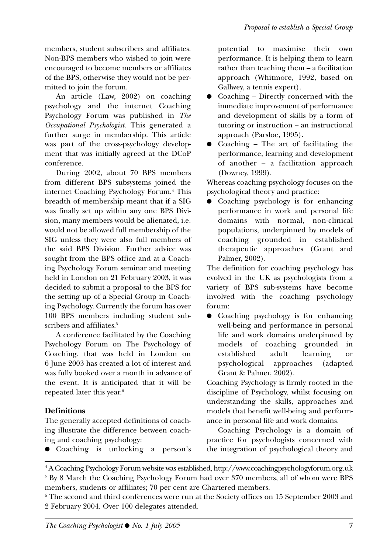members, student subscribers and affiliates. Non-BPS members who wished to join were encouraged to become members or affiliates of the BPS, otherwise they would not be permitted to join the forum.

An article (Law, 2002) on coaching psychology and the internet Coaching Psychology Forum was published in *The Occupational Psychologist*. This generated a further surge in membership. This article was part of the cross-psychology development that was initially agreed at the DCoP conference.

During 2002, about 70 BPS members from different BPS subsystems joined the internet Coaching Psychology Forum.4 This breadth of membership meant that if a SIG was finally set up within any one BPS Division, many members would be alienated, i.e. would not be allowed full membership of the SIG unless they were also full members of the said BPS Division. Further advice was sought from the BPS office and at a Coaching Psychology Forum seminar and meeting held in London on 21 February 2003, it was decided to submit a proposal to the BPS for the setting up of a Special Group in Coaching Psychology. Currently the forum has over 100 BPS members including student subscribers and affiliates.<sup>5</sup>

A conference facilitated by the Coaching Psychology Forum on The Psychology of Coaching, that was held in London on 6 June 2003 has created a lot of interest and was fully booked over a month in advance of the event. It is anticipated that it will be repeated later this year.<sup>6</sup>

#### **Definitions**

The generally accepted definitions of coaching illustrate the difference between coaching and coaching psychology:

● Coaching is unlocking a person's

potential to maximise their own performance. It is helping them to learn rather than teaching them – a facilitation approach (Whitmore, 1992, based on Gallwey, a tennis expert).

- Coaching Directly concerned with the immediate improvement of performance and development of skills by a form of tutoring or instruction – an instructional approach (Parsloe, 1995).
- Coaching  $-$  The art of facilitating the performance, learning and development of another – a facilitation approach (Downey, 1999).

Whereas coaching psychology focuses on the psychological theory and practice:

● Coaching psychology is for enhancing performance in work and personal life domains with normal, non-clinical populations, underpinned by models of coaching grounded in established therapeutic approaches (Grant and Palmer, 2002).

The definition for coaching psychology has evolved in the UK as psychologists from a variety of BPS sub-systems have become involved with the coaching psychology forum:

● Coaching psychology is for enhancing well-being and performance in personal life and work domains underpinned by models of coaching grounded in established adult learning or psychological approaches (adapted Grant & Palmer, 2002).

Coaching Psychology is firmly rooted in the discipline of Psychology, whilst focusing on understanding the skills, approaches and models that benefit well-being and performance in personal life and work domains.

Coaching Psychology is a domain of practice for psychologists concerned with the integration of psychological theory and

<sup>4</sup> A Coaching Psychology Forum website was established, http://www.coachingpsychologyforum.org.uk <sup>5</sup> By 8 March the Coaching Psychology Forum had over 370 members, all of whom were BPS members, students or affiliates; 70 per cent are Chartered members.

<sup>6</sup> The second and third conferences were run at the Society offices on 15 September 2003 and 2 February 2004. Over 100 delegates attended.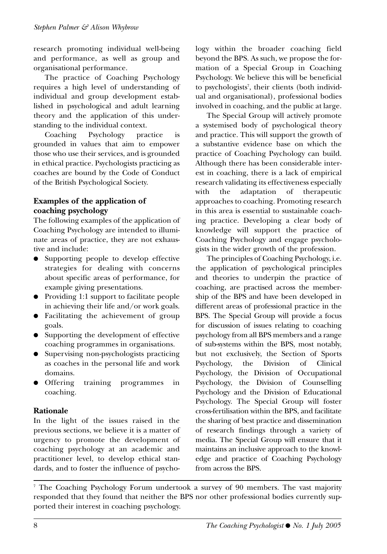research promoting individual well-being and performance, as well as group and organisational performance.

The practice of Coaching Psychology requires a high level of understanding of individual and group development established in psychological and adult learning theory and the application of this understanding to the individual context.

Coaching Psychology practice is grounded in values that aim to empower those who use their services, and is grounded in ethical practice. Psychologists practicing as coaches are bound by the Code of Conduct of the British Psychological Society.

#### **Examples of the application of coaching psychology**

The following examples of the application of Coaching Psychology are intended to illuminate areas of practice, they are not exhaustive and include:

- Supporting people to develop effective strategies for dealing with concerns about specific areas of performance, for example giving presentations.
- Providing 1:1 support to facilitate people in achieving their life and/or work goals.
- Facilitating the achievement of group goals.
- Supporting the development of effective coaching programmes in organisations.
- Supervising non-psychologists practicing as coaches in the personal life and work domains.
- Offering training programmes in coaching.

#### **Rationale**

In the light of the issues raised in the previous sections, we believe it is a matter of urgency to promote the development of coaching psychology at an academic and practitioner level, to develop ethical standards, and to foster the influence of psychology within the broader coaching field beyond the BPS. As such, we propose the formation of a Special Group in Coaching Psychology. We believe this will be beneficial to psychologists7 , their clients (both individual and organisational), professional bodies involved in coaching, and the public at large.

The Special Group will actively promote a systemised body of psychological theory and practice. This will support the growth of a substantive evidence base on which the practice of Coaching Psychology can build. Although there has been considerable interest in coaching, there is a lack of empirical research validating its effectiveness especially with the adaptation of therapeutic approaches to coaching. Promoting research in this area is essential to sustainable coaching practice. Developing a clear body of knowledge will support the practice of Coaching Psychology and engage psychologists in the wider growth of the profession.

The principles of Coaching Psychology, i.e. the application of psychological principles and theories to underpin the practice of coaching, are practised across the membership of the BPS and have been developed in different areas of professional practice in the BPS. The Special Group will provide a focus for discussion of issues relating to coaching psychology from all BPS members and a range of sub-systems within the BPS, most notably, but not exclusively, the Section of Sports Psychology, the Division of Clinical Psychology, the Division of Occupational Psychology, the Division of Counselling Psychology and the Division of Educational Psychology. The Special Group will foster cross-fertilisation within the BPS, and facilitate the sharing of best practice and dissemination of research findings through a variety of media. The Special Group will ensure that it maintains an inclusive approach to the knowledge and practice of Coaching Psychology from across the BPS.

<sup>7</sup> The Coaching Psychology Forum undertook a survey of 90 members. The vast majority responded that they found that neither the BPS nor other professional bodies currently supported their interest in coaching psychology.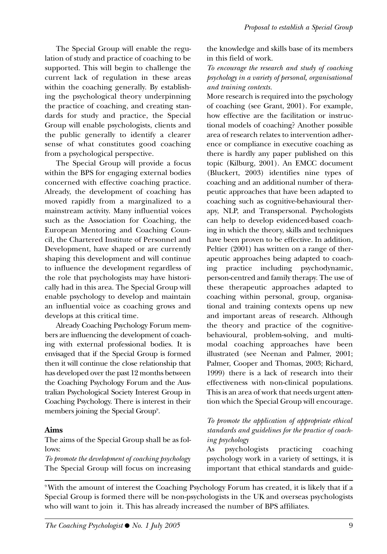The Special Group will enable the regulation of study and practice of coaching to be supported. This will begin to challenge the current lack of regulation in these areas within the coaching generally. By establishing the psychological theory underpinning the practice of coaching, and creating standards for study and practice, the Special Group will enable psychologists, clients and the public generally to identify a clearer sense of what constitutes good coaching from a psychological perspective.

The Special Group will provide a focus within the BPS for engaging external bodies concerned with effective coaching practice. Already, the development of coaching has moved rapidly from a marginalized to a mainstream activity. Many influential voices such as the Association for Coaching, the European Mentoring and Coaching Council, the Chartered Institute of Personnel and Development, have shaped or are currently shaping this development and will continue to influence the development regardless of the role that psychologists may have historically had in this area. The Special Group will enable psychology to develop and maintain an influential voice as coaching grows and develops at this critical time.

Already Coaching Psychology Forum members are influencing the development of coaching with external professional bodies. It is envisaged that if the Special Group is formed then it will continue the close relationship that has developed over the past 12 months between the Coaching Psychology Forum and the Australian Psychological Society Interest Group in Coaching Psychology. There is interest in their members joining the Special Group9 .

#### **Aims**

The aims of the Special Group shall be as follows:

*To promote the development of coaching psychology* The Special Group will focus on increasing the knowledge and skills base of its members in this field of work.

*To encourage the research and study of coaching psychology in a variety of personal, organisational and training contexts.*

More research is required into the psychology of coaching (see Grant, 2001). For example, how effective are the facilitation or instructional models of coaching? Another possible area of research relates to intervention adherence or compliance in executive coaching as there is hardly any paper published on this topic (Kilburg, 2001). An EMCC document (Bluckert, 2003) identifies nine types of coaching and an additional number of therapeutic approaches that have been adapted to coaching such as cognitive-behavioural therapy, NLP, and Transpersonal. Psychologists can help to develop evidenced-based coaching in which the theory, skills and techniques have been proven to be effective. In addition, Peltier (2001) has written on a range of therapeutic approaches being adapted to coaching practice including psychodynamic, person-centred and family therapy. The use of these therapeutic approaches adapted to coaching within personal, group, organisational and training contexts opens up new and important areas of research. Although the theory and practice of the cognitivebehavioural, problem-solving, and multimodal coaching approaches have been illustrated (see Neenan and Palmer, 2001; Palmer, Cooper and Thomas, 2003; Richard, 1999) there is a lack of research into their effectiveness with non-clinical populations. This is an area of work that needs urgent attention which the Special Group will encourage.

#### *To promote the application of appropriate ethical standards and guidelines for the practice of coaching psychology*

As psychologists practicing coaching psychology work in a variety of settings, it is important that ethical standards and guide-

9 With the amount of interest the Coaching Psychology Forum has created, it is likely that if a Special Group is formed there will be non-psychologists in the UK and overseas psychologists who will want to join it. This has already increased the number of BPS affiliates.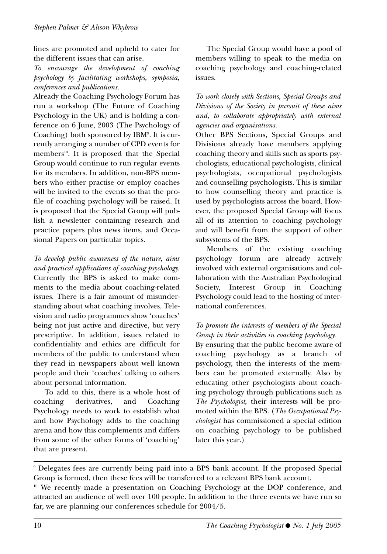lines are promoted and upheld to cater for the different issues that can arise.

*To encourage the development of coaching psychology by facilitating workshops, symposia, conferences and publications.*

Already the Coaching Psychology Forum has run a workshop (The Future of Coaching Psychology in the UK) and is holding a conference on 6 June, 2003 (The Psychology of Coaching) both sponsored by IBM9 . It is currently arranging a number of CPD events for members<sup>10</sup>. It is proposed that the Special Group would continue to run regular events for its members. In addition, non-BPS members who either practise or employ coaches will be invited to the events so that the profile of coaching psychology will be raised. It is proposed that the Special Group will publish a newsletter containing research and practice papers plus news items, and Occasional Papers on particular topics.

*To develop public awareness of the nature, aims and practical applications of coaching psychology.* Currently the BPS is asked to make comments to the media about coaching-related issues. There is a fair amount of misunderstanding about what coaching involves. Television and radio programmes show 'coaches' being not just active and directive, but very prescriptive. In addition, issues related to confidentiality and ethics are difficult for members of the public to understand when they read in newspapers about well known people and their 'coaches' talking to others about personal information.

To add to this, there is a whole host of coaching derivatives, and Coaching Psychology needs to work to establish what and how Psychology adds to the coaching arena and how this complements and differs from some of the other forms of 'coaching' that are present.

The Special Group would have a pool of members willing to speak to the media on coaching psychology and coaching-related issues.

*To work closely with Sections, Special Groups and Divisions of the Society in pursuit of these aims and, to collaborate appropriately with external agencies and organisations.*

Other BPS Sections, Special Groups and Divisions already have members applying coaching theory and skills such as sports psychologists, educational psychologists, clinical psychologists, occupational psychologists and counselling psychologists. This is similar to how counselling theory and practice is used by psychologists across the board. However, the proposed Special Group will focus all of its attention to coaching psychology and will benefit from the support of other subsystems of the BPS.

Members of the existing coaching psychology forum are already actively involved with external organisations and collaboration with the Australian Psychological Society, Interest Group in Coaching Psychology could lead to the hosting of international conferences.

#### *To promote the interests of members of the Special Group in their activities in coaching psychology.*

By ensuring that the public become aware of coaching psychology as a branch of psychology, then the interests of the members can be promoted externally. Also by educating other psychologists about coaching psychology through publications such as *The Psychologist*, their interests will be promoted within the BPS. (*The Occupational Psychologist* has commissioned a special edition on coaching psychology to be published later this year.)

<sup>9</sup> Delegates fees are currently being paid into a BPS bank account. If the proposed Special Group is formed, then these fees will be transferred to a relevant BPS bank account.

<sup>10</sup> We recently made a presentation on Coaching Psychology at the DOP conference, and attracted an audience of well over 100 people. In addition to the three events we have run so far, we are planning our conferences schedule for 2004/5.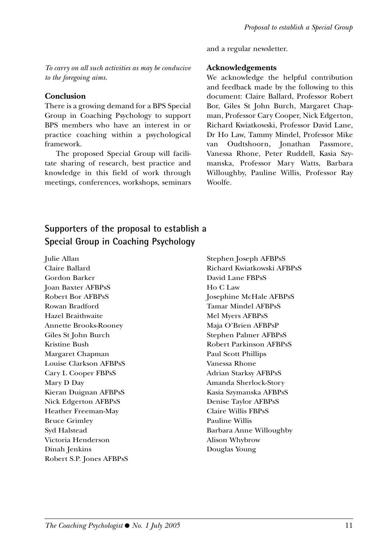and a regular newsletter.

*To carry on all such activities as may be conducive to the foregoing aims.*

#### **Conclusion**

There is a growing demand for a BPS Special Group in Coaching Psychology to support BPS members who have an interest in or practice coaching within a psychological framework.

The proposed Special Group will facilitate sharing of research, best practice and knowledge in this field of work through meetings, conferences, workshops, seminars

#### **Acknowledgements**

We acknowledge the helpful contribution and feedback made by the following to this document: Claire Ballard, Professor Robert Bor, Giles St John Burch, Margaret Chapman, Professor Cary Cooper, Nick Edgerton, Richard Kwiatkowski, Professor David Lane, Dr Ho Law, Tammy Mindel, Professor Mike van Oudtshoorn, Jonathan Passmore, Vanessa Rhone, Peter Ruddell, Kasia Szymanska, Professor Mary Watts, Barbara Willoughby, Pauline Willis, Professor Ray Woolfe.

### **Supporters of the proposal to establish a Special Group in Coaching Psychology**

Julie Allan Claire Ballard Gordon Barker Joan Baxter AFBPsS Robert Bor AFBPsS Rowan Bradford Hazel Braithwaite Annette Brooks-Rooney Giles St John Burch Kristine Bush Margaret Chapman Louise Clarkson AFBPsS Cary L Cooper FBPsS Mary D Day Kieran Duignan AFBPsS Nick Edgerton AFBPsS Heather Freeman-May Bruce Grimley Syd Halstead Victoria Henderson Dinah Jenkins Robert S.P. Jones AFBPsS

Stephen Joseph AFBPsS Richard Kwiatkowski AFBPsS David Lane FBPsS Ho C Law Josephine McHale AFBPsS Tamar Mindel AFBPsS Mel Myers AFBPsS Maja O'Brien AFBPsP Stephen Palmer AFBPsS Robert Parkinson AFBPsS Paul Scott Phillips Vanessa Rhone Adrian Starksy AFBPsS Amanda Sherlock-Story Kasia Szymanska AFBPsS Denise Taylor AFBPsS Claire Willis FBPsS Pauline Willis Barbara Anne Willoughby Alison Whybrow Douglas Young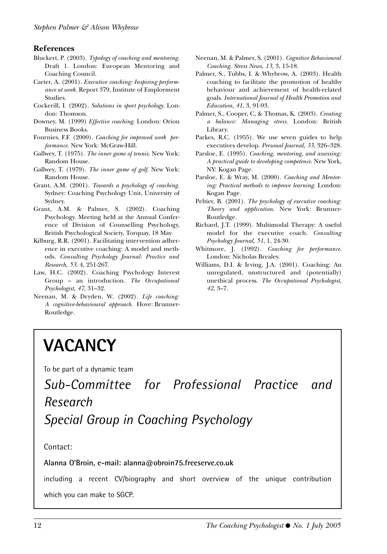#### **References**

- Bluckert, P. (2003). *Typology of coaching and mentoring.* Draft 1. London: European Mentoring and Coaching Council.
- Carter, A. (2001). *Executive coaching: Inspiring performance at work.* Report 379, Institute of Employment Studies.
- Cockerill, I. (2002). *Solutions in sport psychology*. London: Thomson.
- Downey, M. (1999) *Effective coaching*. London: Orion Business Books.
- Fournies, F.F. (2000). *Coaching for improved work performance.* New York: McGraw-Hill.
- Gallwey, T. (1975). *The inner game of tennis*. New York: Random House.
- Gallwey, T. (1979). *The inner game of golf*. New York: Random House.
- Grant, A.M. (2001). *Towards a psychology of coaching.* Sydney: Coaching Psychology Unit, University of Sydney.
- Grant, A.M. & Palmer, S. (2002). Coaching Psychology. Meeting held at the Annual Conference of Division of Counselling Psychology, British Psychological Society, Torquay, 18 May.
- Kilburg, R.R. (2001). Facilitating intervention adherence in executive coaching: A model and methods. *Consulting Psychology Journal: Practice and Research, 53*, 4, 251-267.
- Law, H.C. (2002). Coaching Psychology Interest Group – an introduction. *The Occupational Psychologist, 47*, 31–32.
- Neenan, M. & Dryden, W. (2002). *Life coaching: A cognitive-behavioural approach.* Hove: Brunner-Routledge.
- Neenan, M. & Palmer, S. (2001). *Cognitive Behavioural Coaching. Stress News, 13*, 3, 15-18.
- Palmer, S., Tubbs, I. & Whybrow, A. (2003). Health coaching to facilitate the promotion of healthy behaviour and achievement of health-related goals. *International Journal of Health Promotion and Education, 41*, 3, 91-93.
- Palmer, S., Cooper, C, & Thomas, K. (2003). *Creating a balance: Managing stress*. London: British Library.
- Parkes, R.C. (1955). We use seven guides to help executives develop. *Personal Journal, 33*, 326–328.
- Parsloe, E. (1995). *Coaching, mentoring, and assessing: A practical guide to developing competence.* New York, NY: Kogan Page.
- Parsloe, E. & Wray, M. (2000). *Coaching and Mentoring: Practical methods to improve learning.* London: Kogan Page.
- Peltier, B. (2001). *The psychology of executive coaching: Theory and application*. New York: Brunner-Routledge.
- Richard, J.T. (1999). Multimodal Therapy: A useful model for the executive coach. *Consulting Psychology Journal, 51*, 1, 24-30.
- Whitmore, J. (1992). *Coaching for performance*. London: Nicholas Brealey.
- Williams, D.I. & Irving, J.A. (2001). Coaching: An unregulated, unstructured and (potentially) unethical process. *The Occupational Psychologist, 42*, 3–7.

## **VACANCY**

To be part of a dynamic team

*Sub-Committee for Professional Practice and Research Special Group in Coaching Psychology*

Contact:

#### **Alanna O'Broin, e-mail: alanna@obroin75.freeserve.co.uk**

including a recent CV/biography and short overview of the unique contribution which you can make to SGCP.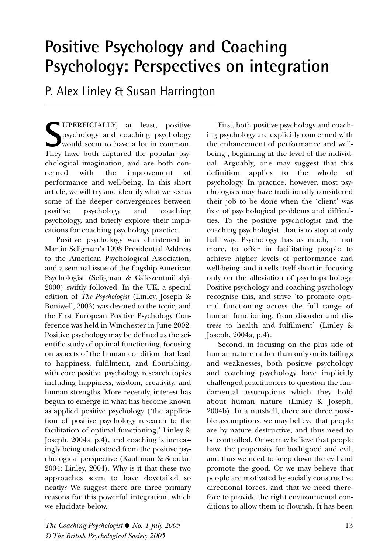### **Positive Psychology and Coaching Psychology: Perspectives on integration**

P. Alex Linley & Susan Harrington

**S** UPERFICIALLY, at least, positive psychology and coaching psychology would seem to have a lot in common. psychology and coaching psychology would seem to have a lot in common. They have both captured the popular psychological imagination, and are both concerned with the improvement of performance and well-being. In this short article, we will try and identify what we see as some of the deeper convergences between positive psychology and coaching psychology, and briefly explore their implications for coaching psychology practice.

Positive psychology was christened in Martin Seligman's 1998 Presidential Address to the American Psychological Association, and a seminal issue of the flagship American Psychologist (Seligman & Csikszentmihalyi, 2000) swiftly followed. In the UK, a special edition of *The Psychologist* (Linley, Joseph & Boniwell, 2003) was devoted to the topic, and the First European Positive Psychology Conference was held in Winchester in June 2002. Positive psychology may be defined as the scientific study of optimal functioning, focusing on aspects of the human condition that lead to happiness, fulfilment, and flourishing, with core positive psychology research topics including happiness, wisdom, creativity, and human strengths. More recently, interest has begun to emerge in what has become known as applied positive psychology ('the application of positive psychology research to the facilitation of optimal functioning,' Linley & Joseph, 2004a, p.4), and coaching is increasingly being understood from the positive psychological perspective (Kauffman & Scoular, 2004; Linley, 2004). Why is it that these two approaches seem to have dovetailed so neatly? We suggest there are three primary reasons for this powerful integration, which we elucidate below.

First, both positive psychology and coaching psychology are explicitly concerned with the enhancement of performance and wellbeing , beginning at the level of the individual. Arguably, one may suggest that this definition applies to the whole of psychology. In practice, however, most psychologists may have traditionally considered their job to be done when the 'client' was free of psychological problems and difficulties. To the positive psychologist and the coaching psychologist, that is to stop at only half way. Psychology has as much, if not more, to offer in facilitating people to achieve higher levels of performance and well-being, and it sells itself short in focusing only on the alleviation of psychopathology. Positive psychology and coaching psychology recognise this, and strive 'to promote optimal functioning across the full range of human functioning, from disorder and distress to health and fulfilment' (Linley & Joseph, 2004a, p.4). Second, in focusing on the plus side of

human nature rather than only on its failings and weaknesses, both positive psychology and coaching psychology have implicitly challenged practitioners to question the fundamental assumptions which they hold about human nature (Linley & Joseph, 2004b). In a nutshell, there are three possible assumptions: we may believe that people are by nature destructive, and thus need to be controlled. Or we may believe that people have the propensity for both good and evil, and thus we need to keep down the evil and promote the good. Or we may believe that people are motivated by socially constructive directional forces, and that we need therefore to provide the right environmental conditions to allow them to flourish. It has been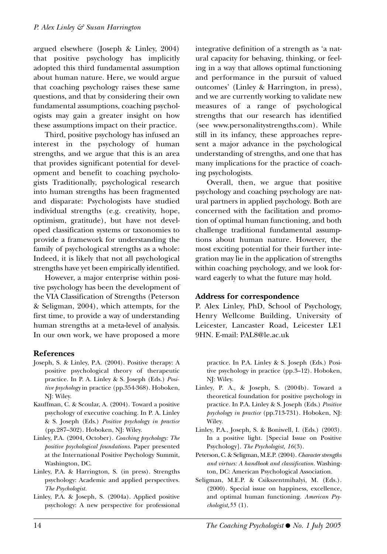argued elsewhere (Joseph & Linley, 2004) that positive psychology has implicitly adopted this third fundamental assumption about human nature. Here, we would argue that coaching psychology raises these same questions, and that by considering their own fundamental assumptions, coaching psychologists may gain a greater insight on how these assumptions impact on their practice.

Third, positive psychology has infused an interest in the psychology of human strengths, and we argue that this is an area that provides significant potential for development and benefit to coaching psychologists Traditionally, psychological research into human strengths has been fragmented and disparate: Psychologists have studied individual strengths (e.g. creativity, hope, optimism, gratitude), but have not developed classification systems or taxonomies to provide a framework for understanding the family of psychological strengths as a whole: Indeed, it is likely that not all psychological strengths have yet been empirically identified.

However, a major enterprise within positive psychology has been the development of the VIA Classification of Strengths (Peterson & Seligman, 2004), which attempts, for the first time, to provide a way of understanding human strengths at a meta-level of analysis. In our own work, we have proposed a more

#### **References**

- Joseph, S. & Linley, P.A. (2004). Positive therapy: A positive psychological theory of therapeutic practice. In P. A. Linley & S. Joseph (Eds.) *Positive psychology* in practice (pp.354-368). Hoboken, NJ: Wiley.
- Kauffman, C. & Scoular, A. (2004). Toward a positive psychology of executive coaching. In P. A. Linley & S. Joseph (Eds.) *Positive psychology in practice* (pp.287–302). Hoboken, NJ: Wiley.
- Linley, P.A. (2004, October). *Coaching psychology: The positive psychological foundations.* Paper presented at the International Positive Psychology Summit, Washington, DC.
- Linley, P.A. & Harrington, S. (in press). Strengths psychology: Academic and applied perspectives. *The Psychologist.*
- Linley, P.A. & Joseph, S. (2004a). Applied positive psychology: A new perspective for professional

integrative definition of a strength as 'a natural capacity for behaving, thinking, or feeling in a way that allows optimal functioning and performance in the pursuit of valued outcomes' (Linley & Harrington, in press), and we are currently working to validate new measures of a range of psychological strengths that our research has identified (see www.personalitystrengths.com). While still in its infancy, these approaches represent a major advance in the psychological understanding of strengths, and one that has many implications for the practice of coaching psychologists.

Overall, then, we argue that positive psychology and coaching psychology are natural partners in applied psychology. Both are concerned with the facilitation and promotion of optimal human functioning, and both challenge traditional fundamental assumptions about human nature. However, the most exciting potential for their further integration may lie in the application of strengths within coaching psychology, and we look forward eagerly to what the future may hold.

#### **Address for correspondence**

P. Alex Linley, PhD, School of Psychology, Henry Wellcome Building, University of Leicester, Lancaster Road, Leicester LE1 9HN. E-mail: PAL8@le.ac.uk

practice. In P.A. Linley & S. Joseph (Eds.) Positive psychology in practice (pp.3–12). Hoboken, NJ: Wiley.

- Linley, P. A., & Joseph, S. (2004b). Toward a theoretical foundation for positive psychology in practice. In P.A. Linley & S. Joseph (Eds.) *Positive psychology in practice* (pp.713-731). Hoboken, NJ: Wiley.
- Linley, P.A., Joseph, S. & Boniwell, I. (Eds.) (2003). In a positive light. [Special Issue on Positive Psychology]. *The Psychologist, 16*(3).
- Peterson, C. & Seligman, M.E.P. (2004). *Character strengths and virtues: A handbook and classification.* Washington, DC: American Psychological Association.
- Seligman, M.E.P. & Csikszentmihalyi, M. (Eds.). (2000). Special issue on happiness, excellence, and optimal human functioning. *American Psychologist,55* (1).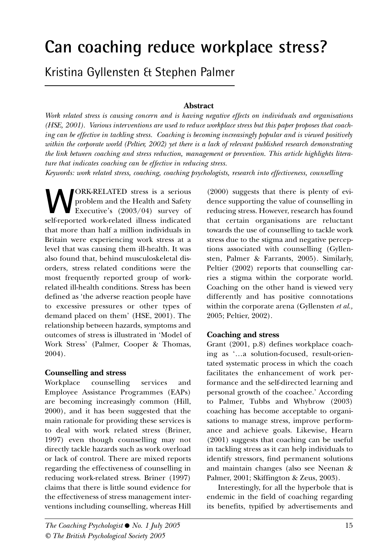## **Can coaching reduce workplace stress?**

Kristina Gyllensten & Stephen Palmer

#### **Abstract**

*Work related stress is causing concern and is having negative effects on individuals and organisations (HSE, 2001). Various interventions are used to reduce workplace stress but this paper proposes that coaching can be effective in tackling stress. Coaching is becoming increasingly popular and is viewed positively within the corporate world (Peltier, 2002) yet there is a lack of relevant published research demonstrating the link between coaching and stress reduction, management or prevention. This article highlights literature that indicates coaching can be effective in reducing stress.* 

*Keywords: work related stress, coaching, coaching psychologists, research into effectiveness, counselling*

**WE** problem and the Health and Safety<br>Executive's (2003/04) survey of<br>self-reported work-related illness indicated problem and the Health and Safety Executive's (2003/04) survey of self-reported work-related illness indicated that more than half a million individuals in Britain were experiencing work stress at a level that was causing them ill-health. It was also found that, behind musculoskeletal disorders, stress related conditions were the most frequently reported group of workrelated ill-health conditions. Stress has been defined as 'the adverse reaction people have to excessive pressures or other types of demand placed on them' (HSE, 2001). The relationship between hazards, symptoms and outcomes of stress is illustrated in 'Model of Work Stress' (Palmer, Cooper & Thomas, 2004).

#### **Counselling and stress**

Workplace counselling services and Employee Assistance Programmes (EAPs) are becoming increasingly common (Hill, 2000), and it has been suggested that the main rationale for providing these services is to deal with work related stress (Briner, 1997) even though counselling may not directly tackle hazards such as work overload or lack of control. There are mixed reports regarding the effectiveness of counselling in reducing work-related stress. Briner (1997) claims that there is little sound evidence for the effectiveness of stress management interventions including counselling, whereas Hill

(2000) suggests that there is plenty of evidence supporting the value of counselling in reducing stress. However, research has found that certain organisations are reluctant towards the use of counselling to tackle work stress due to the stigma and negative perceptions associated with counselling (Gyllensten, Palmer & Farrants, 2005). Similarly, Peltier (2002) reports that counselling carries a stigma within the corporate world. Coaching on the other hand is viewed very differently and has positive connotations within the corporate arena (Gyllensten *et al.,* 2005; Peltier, 2002).

#### **Coaching and stress**

Grant (2001, p.8) defines workplace coaching as '…a solution-focused, result-orientated systematic process in which the coach facilitates the enhancement of work performance and the self-directed learning and personal growth of the coachee.' According to Palmer, Tubbs and Whybrow (2003) coaching has become acceptable to organisations to manage stress, improve performance and achieve goals. Likewise, Hearn (2001) suggests that coaching can be useful in tackling stress as it can help individuals to identify stressors, find permanent solutions and maintain changes (also see Neenan & Palmer, 2001; Skiffington & Zeus, 2003).

Interestingly, for all the hyperbole that is endemic in the field of coaching regarding its benefits, typified by advertisements and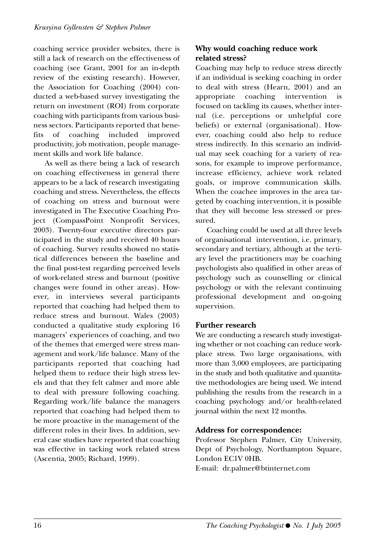coaching service provider websites, there is still a lack of research on the effectiveness of coaching (see Grant, 2001 for an in-depth review of the existing research). However, the Association for Coaching (2004) conducted a web-based survey investigating the return on investment (ROI) from corporate coaching with participants from various business sectors. Participants reported that benefits of coaching included improved productivity, job motivation, people management skills and work life balance.

As well as there being a lack of research on coaching effectiveness in general there appears to be a lack of research investigating coaching and stress. Nevertheless, the effects of coaching on stress and burnout were investigated in The Executive Coaching Project (CompassPoint Nonprofit Services, 2003). Twenty-four executive directors participated in the study and received 40 hours of coaching. Survey results showed no statistical differences between the baseline and the final post-test regarding perceived levels of work-related stress and burnout (positive changes were found in other areas). However, in interviews several participants reported that coaching had helped them to reduce stress and burnout. Wales (2003) conducted a qualitative study exploring 16 managers' experiences of coaching, and two of the themes that emerged were stress management and work/life balance. Many of the participants reported that coaching had helped them to reduce their high stress levels and that they felt calmer and more able to deal with pressure following coaching. Regarding work/life balance the managers reported that coaching had helped them to be more proactive in the management of the different roles in their lives. In addition, several case studies have reported that coaching was effective in tacking work related stress (Ascentia, 2005; Richard, 1999).

#### **Why would coaching reduce work related stress?**

Coaching may help to reduce stress directly if an individual is seeking coaching in order to deal with stress (Hearn, 2001) and an appropriate coaching intervention focused on tackling its causes, whether internal (i.e. perceptions or unhelpful core beliefs) or external (organisational). However, coaching could also help to reduce stress indirectly. In this scenario an individual may seek coaching for a variety of reasons, for example to improve performance, increase efficiency, achieve work related goals, or improve communication skills. When the coachee improves in the area targeted by coaching intervention, it is possible that they will become less stressed or pressured.

Coaching could be used at all three levels of organisational intervention, i.e. primary, secondary and tertiary, although at the tertiary level the practitioners may be coaching psychologists also qualified in other areas of psychology such as counselling or clinical psychology or with the relevant continuing professional development and on-going supervision.

#### **Further research**

We are conducting a research study investigating whether or not coaching can reduce workplace stress. Two large organisations, with more than 3,000 employees, are participating in the study and both qualitative and quantitative methodologies are being used. We intend publishing the results from the research in a coaching psychology and/or health-related journal within the next 12 months.

#### **Address for correspondence:**

Professor Stephen Palmer, City University, Dept of Psychology, Northampton Square, London EC1V 0HB.

E-mail: dr.palmer@btinternet.com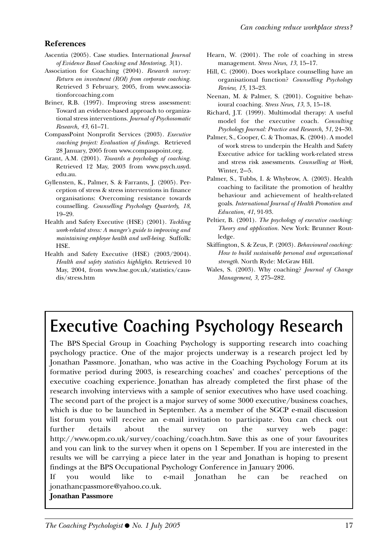#### **References**

- Ascentia (2005). Case studies. International *Journal of Evidence Based Coaching and Mentoring, 3*(1).
- Association for Coaching (2004). *Research survey: Return on investment (ROI) from corporate coaching.* Retrieved 3 February, 2005, from www.associationforcoaching.com
- Briner, R.B. (1997). Improving stress assessment: Toward an evidence-based approach to organizational stress interventions. *Journal of Psychosomatic Research, 43*, 61–71.
- CompassPoint Nonprofit Services (2003). *Executive coaching project: Evaluation of findings.* Retrieved 28 January, 2005 from www.compasspoint.org.
- Grant, A.M. (2001). *Towards a psychology of coaching.* Retrieved 12 May, 2003 from www.psych.usyd. edu.au.
- Gyllensten, K., Palmer, S. & Farrants, J. (2005). Perception of stress & stress interventions in finance organisations: Overcoming resistance towards counselling. *Counselling Psychology Quarterly, 18*, 19–29.
- Health and Safety Executive (HSE) (2001). *Tackling work-related stress: A manger's guide to improving and maintaining employee health and well-being.* Suffolk: HSE.
- Health and Safety Executive (HSE) (2003/2004). *Health and safety statistics highlights*. Retrieved 10 May, 2004, from www.hse.gov.uk/statistics/causdis/stress.htm
- Hearn, W. (2001). The role of coaching in stress management. *Stress News, 13*, 15–17.
- Hill, C. (2000). Does workplace counselling have an organisational function? *Counselling Psychology Review, 15*, 13–23.
- Neenan, M. & Palmer, S. (2001). Cognitive behavioural coaching. *Stress News, 13*, 3, 15–18.
- Richard, J.T. (1999). Multimodal therapy: A useful model for the executive coach. *Consulting Psychology Journal: Practice and Research, 51*, 24–30.
- Palmer, S., Cooper, C. & Thomas, K. (2004). A model of work stress to underpin the Health and Safety Executive advice for tackling work-related stress and stress risk assessments. *Counselling at Work*, Winter,  $2-5$ .
- Palmer, S., Tubbs, I. & Whybrow, A. (2003). Health coaching to facilitate the promotion of healthy behaviour and achievement of health-related goals. *International Journal of Health Promotion and Education, 41*, 91-93.
- Peltier, B. (2001). *The psychology of executive coaching: Theory and application.* New York: Brunner Routledge.
- Skiffington, S. & Zeus, P. (2003). *Behavioural coaching: How to build sustainable personal and organzational strength.* North Ryde: McGraw Hill.
- Wales, S. (2003). Why coaching? *Journal of Change Management, 3*, 275–282.

## **Executive Coaching Psychology Research**

The BPS Special Group in Coaching Psychology is supporting research into coaching psychology practice. One of the major projects underway is a research project led by Jonathan Passmore. Jonathan, who was active in the Coaching Psychology Forum at its formative period during 2003, is researching coaches' and coaches' perceptions of the executive coaching experience. Jonathan has already completed the first phase of the research involving interviews with a sample of senior executives who have used coaching. The second part of the project is a major survey of some 3000 executive/business coaches, which is due to be launched in September. As a member of the SGCP e-mail discussion list forum you will receive an e-mail invitation to participate. You can check out further details about the survey on the survey web page: http://www.opm.co.uk/survey/coaching/coach.htm. Save this as one of your favourites and you can link to the survey when it opens on 1 Sepember. If you are interested in the results we will be carrying a piece later in the year and Jonathan is hoping to present findings at the BPS Occupational Psychology Conference in January 2006.

If you would like to e-mail Jonathan he can be reached on jonathancpassmore@yahoo.co.uk.

#### **Jonathan Passmore**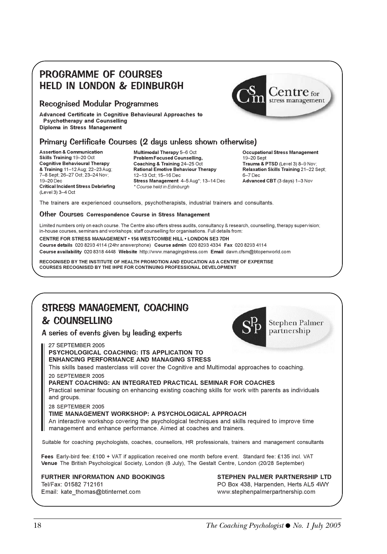### PROGRAMME OF COURSES HELD IN LONDON & EDINBURGH

#### Recognised Modular Programmes

**Advanced Certificate in Cognitive Behavioural Approaches to Psychotherapy and Counselling Diploma in Stress Management**

#### Primary Certificate Courses (2 days unless shown otherwise)

**Assertion & Communication Skills Training** 19–20 Oct **Cognitive Behavioural Therapy & Training** 11–12 Aug; 22–23 Aug; 7–8 Sept; 26–27 Oct; 23–24 Nov; 19–20 Dec **Critical Incident Stress Debriefing** (Level 3) 3–4 Oct

**Multimodal Therapy** 5–6 Oct **Problem Focused Counselling, Coaching & Training** 24–25 Oct **Rational Emotive Behaviour Therapy** 12–13 Oct; 15–16 Dec **Stress Management** 4–5 Aug\*; 13–14 Dec *\* Course held in Edinburgh*

**Occupational Stress Management** 19–20 Sept **Trauma & PTSD** (Level 3) 8–9 Nov; **Relaxation Skills Training** 21–22 Sept; 6–7 Dec **Advanced CBT** (3 days) 1–3 Nov

The trainers are experienced counsellors, psychotherapists, industrial trainers and consultants.

#### Other Courses **Correspondence Course in Stress Management**

Limited numbers only on each course. The Centre also offers stress audits, consultancy & research, counselling, therapy supervision; in-house courses, seminars and workshops; staff counselling for organisations. Full details from:

**CENTRE FOR STRESS MANAGEMENT • 156 WESTCOMBE HILL • LONDON SE3 7DH Course details** 020 8293 4114 (24hr answerphone) **Course admin** 020 8293 4334 **Fax** 020 8293 4114 **Course availability** 020 8318 4448 **Website** http://www.managingstress.com **Email** dawn.cfsm@btopenworld.com

**RECOGNISED BY THE INSTITUTE OF HEALTH PROMOTION AND EDUCATION AS A CENTRE OF EXPERTISE COURSES RECOGNISED BY THE IHPE FOR CONTINUING PROFESSIONAL DEVELOPMENT**

### STRESS MANAGEMENT, COACHING & COUNSELLING

A series of events given by leading experts

27 SEPTEMBER 2005

**PSYCHOLOGICAL COACHING: ITS APPLICATION TO ENHANCING PERFORMANCE AND MANAGING STRESS**

This skills based masterclass will cover the Cognitive and Multimodal approaches to coaching. 20 SEPTEMBER 2005

**PARENT COACHING: AN INTEGRATED PRACTICAL SEMINAR FOR COACHES**

Practical seminar focusing on enhancing existing coaching skills for work with parents as individuals and groups.

28 SEPTEMBER 2005

#### **TIME MANAGEMENT WORKSHOP: A PSYCHOLOGICAL APPROACH**

An interactive workshop covering the psychological techniques and skills required to improve time management and enhance performance. Aimed at coaches and trainers.

Suitable for coaching psychologists, coaches, counsellors, HR professionals, trainers and management consultants

**Fees** Early-bird fee: £100 + VAT if application received one month before event. Standard fee: £135 incl. VAT **Venue** The British Psychological Society, London (8 July), The Gestalt Centre, London (20/28 September)

#### **FURTHER INFORMATION AND BOOKINGS**

Tel/Fax: 01582 712161 Email: kate\_thomas@btinternet.com **STEPHEN PALMER PARTNERSHIP LTD** PO Box 438, Harpenden, Herts AL5 4WY www.stephenpalmerpartnership.com



**Stephen Palmer** partnership

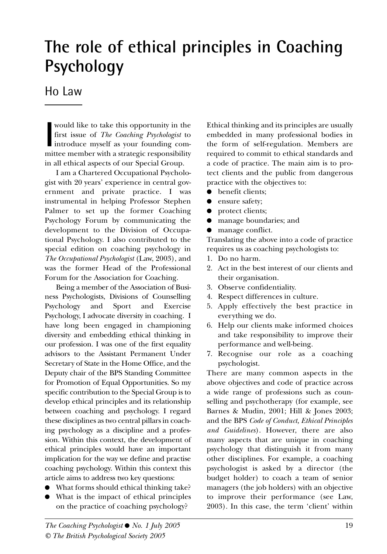## **The role of ethical principles in Coaching Psychology**

### Ho Law

would like to take this opportunity in the<br>first issue of *The Coaching Psychologist* to<br>introduce myself as your founding com-<br>mittee member with a strategic responsibility would like to take this opportunity in the first issue of *The Coaching Psychologist* to introduce myself as your founding comin all ethical aspects of our Special Group.

I am a Chartered Occupational Psychologist with 20 years' experience in central government and private practice. I was instrumental in helping Professor Stephen Palmer to set up the former Coaching Psychology Forum by communicating the development to the Division of Occupational Psychology. I also contributed to the special edition on coaching psychology in *The Occupational Psychologist* (Law, 2003), and was the former Head of the Professional Forum for the Association for Coaching.

Being a member of the Association of Business Psychologists, Divisions of Counselling Psychology and Sport and Exercise Psychology, I advocate diversity in coaching. I have long been engaged in championing diversity and embedding ethical thinking in our profession. I was one of the first equality advisors to the Assistant Permanent Under Secretary of State in the Home Office, and the Deputy chair of the BPS Standing Committee for Promotion of Equal Opportunities. So my specific contribution to the Special Group is to develop ethical principles and its relationship between coaching and psychology. I regard these disciplines as two central pillars in coaching psychology as a discipline and a profession. Within this context, the development of ethical principles would have an important implication for the way we define and practise coaching psychology. Within this context this article aims to address two key questions:

- What forms should ethical thinking take?
- What is the impact of ethical principles on the practice of coaching psychology?

Ethical thinking and its principles are usually embedded in many professional bodies in the form of self-regulation. Members are required to commit to ethical standards and a code of practice. The main aim is to protect clients and the public from dangerous practice with the objectives to:

- benefit clients;
- ensure safety;
- protect clients;
- manage boundaries; and
- manage conflict.

Translating the above into a code of practice requires us as coaching psychologists to:

- 1. Do no harm.
- 2. Act in the best interest of our clients and their organisation.
- 3. Observe confidentiality.
- 4. Respect differences in culture.
- 5. Apply effectively the best practice in everything we do.
- 6. Help our clients make informed choices and take responsibility to improve their performance and well-being.
- 7. Recognise our role as a coaching psychologist.

There are many common aspects in the above objectives and code of practice across a wide range of professions such as counselling and psychotherapy (for example, see Barnes & Mudin, 2001; Hill & Jones 2003; and the BPS *Code of Conduct, Ethical Principles and Guidelines*). However, there are also many aspects that are unique in coaching psychology that distinguish it from many other disciplines. For example, a coaching psychologist is asked by a director (the budget holder) to coach a team of senior managers (the job holders) with an objective to improve their performance (see Law, 2003). In this case, the term 'client' within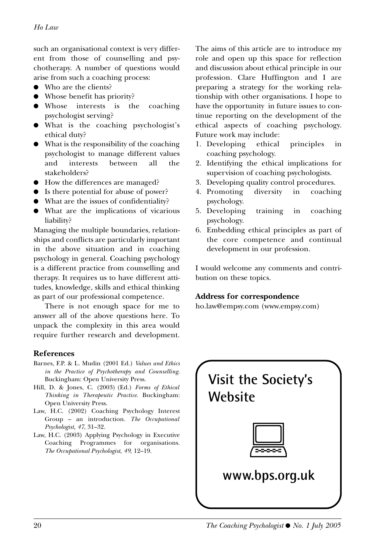such an organisational context is very different from those of counselling and psychotherapy. A number of questions would arise from such a coaching process:

- Who are the clients?
- Whose benefit has priority?
- Whose interests is the coaching psychologist serving?
- What is the coaching psychologist's ethical duty?
- What is the responsibility of the coaching psychologist to manage different values and interests between all the stakeholders?
- How the differences are managed?
- Is there potential for abuse of power?
- What are the issues of confidentiality?
- What are the implications of vicarious liability?

Managing the multiple boundaries, relationships and conflicts are particularly important in the above situation and in coaching psychology in general. Coaching psychology is a different practice from counselling and therapy. It requires us to have different attitudes, knowledge, skills and ethical thinking as part of our professional competence.

There is not enough space for me to answer all of the above questions here. To unpack the complexity in this area would require further research and development.

#### **References**

- Barnes, F.P. & L. Mudin (2001 Ed.) *Values and Ethics in the Practice of Psychotherapy and Counselling*. Buckingham: Open University Press.
- Hill, D. & Jones, C. (2003) (Ed.) *Forms of Ethical Thinking in Therapeutic Practice*. Buckingham: Open University Press.
- Law, H.C. (2002) Coaching Psychology Interest Group – an introduction. *The Occupational Psychologist, 47*, 31–32.
- Law, H.C. (2003) Applying Psychology in Executive Coaching Programmes for organisations. *The Occupational Psychologist*, *49*, 12–19.

The aims of this article are to introduce my role and open up this space for reflection and discussion about ethical principle in our profession. Clare Huffington and I are preparing a strategy for the working relationship with other organisations. I hope to have the opportunity in future issues to continue reporting on the development of the ethical aspects of coaching psychology. Future work may include:

- 1. Developing ethical principles in coaching psychology.
- 2. Identifying the ethical implications for supervision of coaching psychologists.
- 3. Developing quality control procedures.
- 4. Promoting diversity in coaching psychology.
- 5. Developing training in coaching psychology.
- 6. Embedding ethical principles as part of the core competence and continual development in our profession.

I would welcome any comments and contribution on these topics.

#### **Address for correspondence**

ho.law@empsy.com (www.empsy.com)

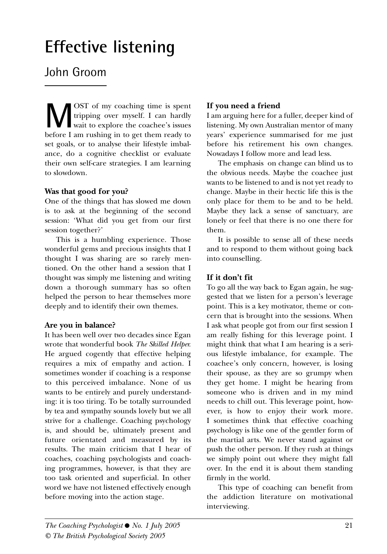## **Effective listening**

### John Groom

**M**OST of my coaching time is spent<br>tripping over myself. I can hardly<br>before I am rushing in to get them ready to tripping over myself. I can hardly before I am rushing in to get them ready to set goals, or to analyse their lifestyle imbalance, do a cognitive checklist or evaluate their own self-care strategies. I am learning to slowdown.

#### **Was that good for you?**

One of the things that has slowed me down is to ask at the beginning of the second session: 'What did you get from our first session together?'

This is a humbling experience. Those wonderful gems and precious insights that I thought I was sharing are so rarely mentioned. On the other hand a session that I thought was simply me listening and writing down a thorough summary has so often helped the person to hear themselves more deeply and to identify their own themes.

#### **Are you in balance?**

It has been well over two decades since Egan wrote that wonderful book *The Skilled Helper.* He argued cogently that effective helping requires a mix of empathy and action. I sometimes wonder if coaching is a response to this perceived imbalance. None of us wants to be entirely and purely understanding: it is too tiring. To be totally surrounded by tea and sympathy sounds lovely but we all strive for a challenge. Coaching psychology is, and should be, ultimately present and future orientated and measured by its results. The main criticism that I hear of coaches, coaching psychologists and coaching programmes, however, is that they are too task oriented and superficial. In other word we have not listened effectively enough before moving into the action stage.

#### **If you need a friend**

I am arguing here for a fuller, deeper kind of listening. My own Australian mentor of many years' experience summarised for me just before his retirement his own changes. Nowadays I follow more and lead less.

The emphasis on change can blind us to the obvious needs. Maybe the coachee just wants to be listened to and is not yet ready to change. Maybe in their hectic life this is the only place for them to be and to be held. Maybe they lack a sense of sanctuary, are lonely or feel that there is no one there for them.

It is possible to sense all of these needs and to respond to them without going back into counselling.

#### **If it don't fit**

To go all the way back to Egan again, he suggested that we listen for a person's leverage point. This is a key motivator, theme or concern that is brought into the sessions. When I ask what people got from our first session I am really fishing for this leverage point. I might think that what I am hearing is a serious lifestyle imbalance, for example. The coachee's only concern, however, is losing their spouse, as they are so grumpy when they get home. I might be hearing from someone who is driven and in my mind needs to chill out. This leverage point, however, is how to enjoy their work more. I sometimes think that effective coaching psychology is like one of the gentler form of the martial arts. We never stand against or push the other person. If they rush at things we simply point out where they might fall over. In the end it is about them standing firmly in the world.

This type of coaching can benefit from the addiction literature on motivational interviewing.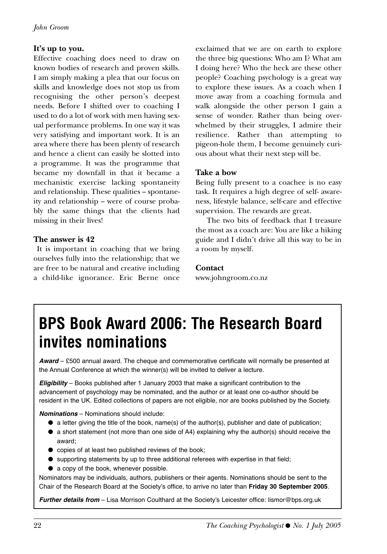#### **It's up to you.**

Effective coaching does need to draw on known bodies of research and proven skills. I am simply making a plea that our focus on skills and knowledge does not stop us from recognising the other person's deepest needs. Before I shifted over to coaching I used to do a lot of work with men having sexual performance problems. In one way it was very satisfying and important work. It is an area where there has been plenty of research and hence a client can easily be slotted into a programme. It was the programme that became my downfall in that it became a mechanistic exercise lacking spontaneity and relationship. These qualities – spontaneity and relationship – were of course probably the same things that the clients had missing in their lives!

#### **The answer is 42**

It is important in coaching that we bring ourselves fully into the relationship; that we are free to be natural and creative including a child-like ignorance. Eric Berne once exclaimed that we are on earth to explore the three big questions: Who am I? What am I doing here? Who the heck are these other people? Coaching psychology is a great way to explore these issues. As a coach when I move away from a coaching formula and walk alongside the other person I gain a sense of wonder. Rather than being overwhelmed by their struggles, I admire their resilience. Rather than attempting to pigeon-hole them, I become genuinely curious about what their next step will be.

#### **Take a bow**

Being fully present to a coachee is no easy task. It requires a high degree of self- awareness, lifestyle balance, self-care and effective supervision. The rewards are great.

The two bits of feedback that I treasure the most as a coach are: You are like a hiking guide and I didn't drive all this way to be in a room by myself.

#### **Contact**

www.johngroom.co.nz

### **BPS Book Award 2006: The Research Board invites nominations**

*Award* – £500 annual award. The cheque and commemorative certificate will normally be presented at the Annual Conference at which the winner(s) will be invited to deliver a lecture.

*Eligibility* – Books published after 1 January 2003 that make a significant contribution to the advancement of psychology may be nominated, and the author or at least one co-author should be resident in the UK. Edited collections of papers are not eligible, nor are books published by the Society.

*Nominations* – Nominations should include:

- $\bullet$  a letter giving the title of the book, name(s) of the author(s), publisher and date of publication;
- a short statement (not more than one side of A4) explaining why the author(s) should receive the award;
- copies of at least two published reviews of the book;
- supporting statements by up to three additional referees with expertise in that field;
- a copy of the book, whenever possible.

Nominators may be individuals, authors, publishers or their agents. Nominations should be sent to the Chair of the Research Board at the Society's office, to arrive no later than **Friday 30 September 2005**.

*Further details from* – Lisa Morrison Coulthard at the Society's Leicester office: lismor@bps.org.uk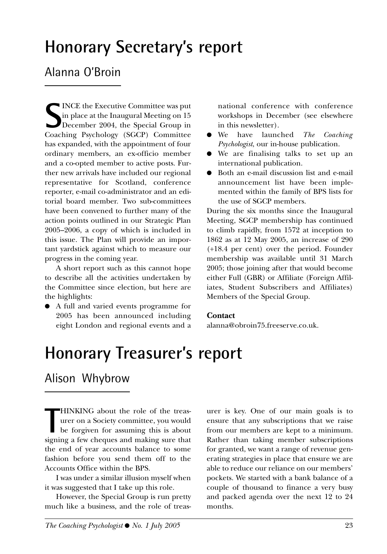### **Honorary Secretary's report**

### Alanna O'Broin

Supervisode Executive Committee was put<br>
Simplace at the Inaugural Meeting on 15<br>
December 2004, the Special Group in<br>
Coaching Psychology (SGCP) Committee INCE the Executive Committee was put in place at the Inaugural Meeting on 15 December 2004, the Special Group in has expanded, with the appointment of four ordinary members, an ex-officio member and a co-opted member to active posts. Further new arrivals have included our regional representative for Scotland, conference reporter, e-mail co-administrator and an editorial board member. Two sub-committees have been convened to further many of the action points outlined in our Strategic Plan 2005–2006, a copy of which is included in this issue. The Plan will provide an important yardstick against which to measure our progress in the coming year.

A short report such as this cannot hope to describe all the activities undertaken by the Committee since election, but here are the highlights:

● A full and varied events programme for 2005 has been announced including eight London and regional events and a

national conference with conference workshops in December (see elsewhere in this newsletter).

- We have launched *The Coaching Psychologist*, our in-house publication.
- We are finalising talks to set up an international publication.
- Both an e-mail discussion list and e-mail announcement list have been implemented within the family of BPS lists for the use of SGCP members.

During the six months since the Inaugural Meeting, SGCP membership has continued to climb rapidly, from 1572 at inception to 1862 as at 12 May 2005, an increase of 290 (+18.4 per cent) over the period. Founder membership was available until 31 March 2005; those joining after that would become either Full (GBR) or Affiliate (Foreign Affiliates, Student Subscribers and Affiliates) Members of the Special Group.

#### **Contact**

alanna@obroin75.freeserve.co.uk.

### **Honorary Treasurer's report**

### Alison Whybrow

**THINKING** about the role of the treasurer on a Society committee, you would be forgiven for assuming this is about signing a few cheques and making sure that HINKING about the role of the treasurer on a Society committee, you would be forgiven for assuming this is about the end of year accounts balance to some fashion before you send them off to the Accounts Office within the BPS.

I was under a similar illusion myself when it was suggested that I take up this role.

However, the Special Group is run pretty much like a business, and the role of treasurer is key. One of our main goals is to ensure that any subscriptions that we raise from our members are kept to a minimum. Rather than taking member subscriptions for granted, we want a range of revenue generating strategies in place that ensure we are able to reduce our reliance on our members' pockets. We started with a bank balance of a couple of thousand to finance a very busy and packed agenda over the next 12 to 24 months.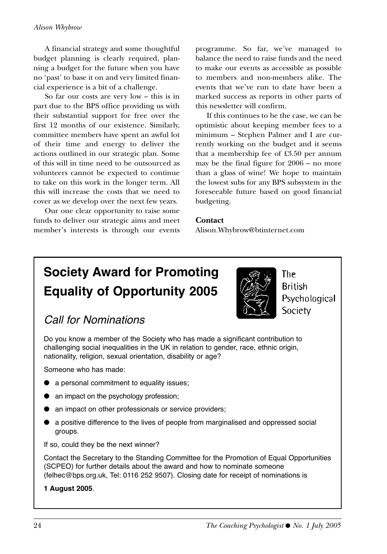#### *Alison Whybrow*

A financial strategy and some thoughtful budget planning is clearly required, planning a budget for the future when you have no 'past' to base it on and very limited financial experience is a bit of a challenge.

So far our costs are very low – this is in part due to the BPS office providing us with their substantial support for free over the first 12 months of our existence. Similarly, committee members have spent an awful lot of their time and energy to deliver the actions outlined in our strategic plan. Some of this will in time need to be outsourced as volunteers cannot be expected to continue to take on this work in the longer term. All this will increase the costs that we need to cover as we develop over the next few years.

Our one clear opportunity to raise some funds to deliver our strategic aims and meet member's interests is through our events

programme. So far, we've managed to balance the need to raise funds and the need to make our events as accessible as possible to members and non-members alike. The events that we've run to date have been a marked success as reports in other parts of this newsletter will confirm.

If this continues to be the case, we can be optimistic about keeping member fees to a minimum – Stephen Palmer and I are currently working on the budget and it seems that a membership fee of £3.50 per annum may be the final figure for 2006 – no more than a glass of wine! We hope to maintain the lowest subs for any BPS subsystem in the foreseeable future based on good financial budgeting.

#### **Contact**

Alison.Whybrow@btinternet.com

### **Society Award for Promoting Equality of Opportunity 2005**



**British** Psychological Society

The

### Call for Nominations

Do you know a member of the Society who has made a significant contribution to challenging social inequalities in the UK in relation to gender, race, ethnic origin, nationality, religion, sexual orientation, disability or age?

Someone who has made:

- a personal commitment to equality issues;
- an impact on the psychology profession;
- an impact on other professionals or service providers;
- a positive difference to the lives of people from marginalised and oppressed social groups.

If so, could they be the next winner?

Contact the Secretary to the Standing Committee for the Promotion of Equal Opportunities (SCPEO) for further details about the award and how to nominate someone (felhec@bps.org.uk, Tel: 0116 252 9507). Closing date for receipt of nominations is

#### **1 August 2005**.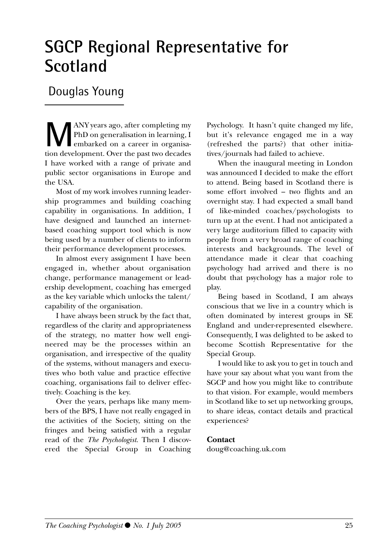### **SGCP Regional Representative for Scotland**

### Douglas Young

**M**ANY years ago, after completing my PhD on generalisation in learning, I embarked on a career in organisation development. Over the past two decades I have worked with a range of private and public sector organisations in Europe and the USA.

Most of my work involves running leadership programmes and building coaching capability in organisations. In addition, I have designed and launched an internetbased coaching support tool which is now being used by a number of clients to inform their performance development processes.

In almost every assignment I have been engaged in, whether about organisation change, performance management or leadership development, coaching has emerged as the key variable which unlocks the talent/ capability of the organisation.

I have always been struck by the fact that, regardless of the clarity and appropriateness of the strategy, no matter how well engineered may be the processes within an organisation, and irrespective of the quality of the systems, without managers and executives who both value and practice effective coaching, organisations fail to deliver effectively. Coaching is the key.

Over the years, perhaps like many members of the BPS, I have not really engaged in the activities of the Society, sitting on the fringes and being satisfied with a regular read of the *The Psychologist*. Then I discovered the Special Group in Coaching Psychology. It hasn't quite changed my life, but it's relevance engaged me in a way (refreshed the parts?) that other initiatives/journals had failed to achieve.

When the inaugural meeting in London was announced I decided to make the effort to attend. Being based in Scotland there is some effort involved – two flights and an overnight stay. I had expected a small band of like-minded coaches/psychologists to turn up at the event. I had not anticipated a very large auditorium filled to capacity with people from a very broad range of coaching interests and backgrounds. The level of attendance made it clear that coaching psychology had arrived and there is no doubt that psychology has a major role to play.

Being based in Scotland, I am always conscious that we live in a country which is often dominated by interest groups in SE England and under-represented elsewhere. Consequently, I was delighted to be asked to become Scottish Representative for the Special Group.

I would like to ask you to get in touch and have your say about what you want from the SGCP and how you might like to contribute to that vision. For example, would members in Scotland like to set up networking groups, to share ideas, contact details and practical experiences?

#### **Contact**

doug@coaching.uk.com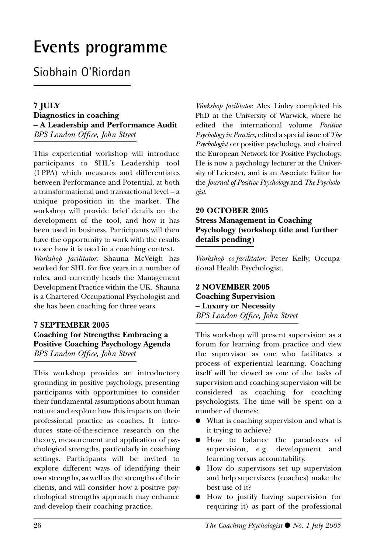## **Events programme**

### Siobhain O'Riordan

#### **7 JULY**

**Diagnostics in coaching – A Leadership and Performance Audit** *BPS London Office, John Street*

This experiential workshop will introduce participants to SHL's Leadership tool (LPPA) which measures and differentiates between Performance and Potential, at both a transformational and transactional level – a unique proposition in the market. The workshop will provide brief details on the development of the tool, and how it has been used in business. Participants will then have the opportunity to work with the results to see how it is used in a coaching context.

*Workshop facilitator:* Shauna McVeigh has worked for SHL for five years in a number of roles, and currently heads the Management Development Practice within the UK. Shauna is a Chartered Occupational Psychologist and she has been coaching for three years.

#### **7 SEPTEMBER 2005 Coaching for Strengths: Embracing a Positive Coaching Psychology Agenda** *BPS London Office, John Street*

This workshop provides an introductory grounding in positive psychology, presenting participants with opportunities to consider their fundamental assumptions about human nature and explore how this impacts on their professional practice as coaches. It introduces state-of-the-science research on the theory, measurement and application of psychological strengths, particularly in coaching settings. Participants will be invited to explore different ways of identifying their own strengths, as well as the strengths of their clients, and will consider how a positive psychological strengths approach may enhance and develop their coaching practice.

*Workshop facilitator*: Alex Linley completed his PhD at the University of Warwick, where he edited the international volume *Positive Psychology in Practice*, edited a special issue of *The Psychologist* on positive psychology, and chaired the European Network for Positive Psychology. He is now a psychology lecturer at the University of Leicester, and is an Associate Editor for the *Journal of Positive Psychology* and *The Psychologist*.

#### **20 OCTOBER 2005 Stress Management in Coaching Psychology (workshop title and further details pending)**

*Workshop co-facilitator:* Peter Kelly, Occupational Health Psychologist.

#### **2 NOVEMBER 2005 Coaching Supervision – Luxury or Necessity** *BPS London Office, John Street*

This workshop will present supervision as a forum for learning from practice and view the supervisor as one who facilitates a process of experiential learning. Coaching itself will be viewed as one of the tasks of supervision and coaching supervision will be considered as coaching for coaching psychologists. The time will be spent on a number of themes:

- What is coaching supervision and what is it trying to achieve?
- How to balance the paradoxes of supervision, e.g. development and learning versus accountability.
- How do supervisors set up supervision and help supervisees (coaches) make the best use of it?
- How to justify having supervision (or requiring it) as part of the professional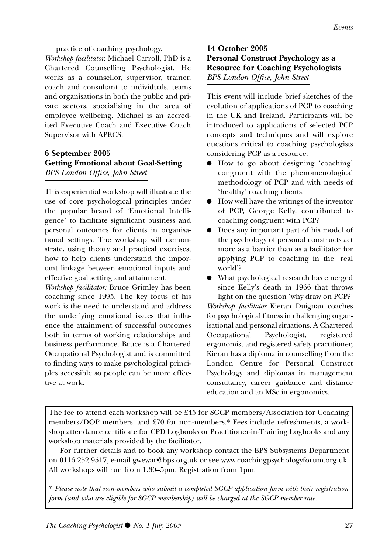practice of coaching psychology.

*Workshop facilitator*: Michael Carroll, PhD is a Chartered Counselling Psychologist. He works as a counsellor, supervisor, trainer, coach and consultant to individuals, teams and organisations in both the public and private sectors, specialising in the area of employee wellbeing. Michael is an accredited Executive Coach and Executive Coach Supervisor with APECS.

#### **6 September 2005 Getting Emotional about Goal-Setting**  *BPS London Office, John Street*

This experiential workshop will illustrate the use of core psychological principles under the popular brand of 'Emotional Intelligence' to facilitate significant business and personal outcomes for clients in organisational settings. The workshop will demonstrate, using theory and practical exercises, how to help clients understand the important linkage between emotional inputs and effective goal setting and attainment.

*Workshop facilitator:* Bruce Grimley has been coaching since 1995. The key focus of his work is the need to understand and address the underlying emotional issues that influence the attainment of successful outcomes both in terms of working relationships and business performance. Bruce is a Chartered Occupational Psychologist and is committed to finding ways to make psychological principles accessible so people can be more effective at work.

**14 October 2005 Personal Construct Psychology as a Resource for Coaching Psychologists**  *BPS London Office, John Street*

This event will include brief sketches of the evolution of applications of PCP to coaching in the UK and Ireland. Participants will be introduced to applications of selected PCP concepts and techniques and will explore questions critical to coaching psychologists considering PCP as a resource:

- How to go about designing 'coaching' congruent with the phenomenological methodology of PCP and with needs of 'healthy' coaching clients.
- How well have the writings of the inventor of PCP, George Kelly, contributed to coaching congruent with PCP?
- Does any important part of his model of the psychology of personal constructs act more as a barrier than as a facilitator for applying PCP to coaching in the 'real world'?

● What psychological research has emerged since Kelly's death in 1966 that throws light on the question 'why draw on PCP?' *Workshop facilitator* Kieran Duignan coaches for psychological fitness in challenging organisational and personal situations. A Chartered Occupational Psychologist, registered ergonomist and registered safety practitioner, Kieran has a diploma in counselling from the London Centre for Personal Construct Psychology and diplomas in management consultancy, career guidance and distance education and an MSc in ergonomics.

The fee to attend each workshop will be £45 for SGCP members/Association for Coaching members/DOP members, and £70 for non-members.\* Fees include refreshments, a workshop attendance certificate for CPD Logbooks or Practitioner-in-Training Logbooks and any workshop materials provided by the facilitator.

For further details and to book any workshop contact the BPS Subsystems Department on 0116 252 9517, e-mail gwewar@bps.org.uk or see www.coachingpsychologyforum.org.uk. All workshops will run from 1.30–5pm. Registration from 1pm.

\* *Please note that non-members who submit a completed SGCP application form with their registration form (and who are eligible for SGCP membership) will be charged at the SGCP member rate.*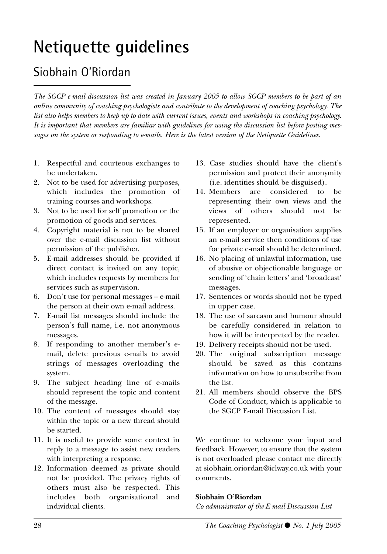## **Netiquette guidelines**

### Siobhain O'Riordan

*The SGCP e-mail discussion list was created in January 2005 to allow SGCP members to be part of an online community of coaching psychologists and contribute to the development of coaching psychology. The list also helps members to keep up to date with current issues, events and workshops in coaching psychology. It is important that members are familiar with guidelines for using the discussion list before posting messages on the system or responding to e-mails. Here is the latest version of the Netiquette Guidelines.*

- 1. Respectful and courteous exchanges to be undertaken.
- 2. Not to be used for advertising purposes, which includes the promotion of training courses and workshops.
- 3. Not to be used for self promotion or the promotion of goods and services.
- 4. Copyright material is not to be shared over the e-mail discussion list without permission of the publisher.
- 5. E-mail addresses should be provided if direct contact is invited on any topic, which includes requests by members for services such as supervision.
- 6. Don't use for personal messages e-mail the person at their own e-mail address.
- 7. E-mail list messages should include the person's full name, i.e. not anonymous messages.
- 8. If responding to another member's email, delete previous e-mails to avoid strings of messages overloading the system.
- 9. The subject heading line of e-mails should represent the topic and content of the message.
- 10. The content of messages should stay within the topic or a new thread should be started.
- 11. It is useful to provide some context in reply to a message to assist new readers with interpreting a response.
- 12. Information deemed as private should not be provided. The privacy rights of others must also be respected. This includes both organisational and individual clients.
- 13. Case studies should have the client's permission and protect their anonymity (i.e. identities should be disguised).
- 14. Members are considered to be representing their own views and the views of others should not be represented.
- 15. If an employer or organisation supplies an e-mail service then conditions of use for private e-mail should be determined.
- 16. No placing of unlawful information, use of abusive or objectionable language or sending of 'chain letters' and 'broadcast' messages.
- 17. Sentences or words should not be typed in upper case.
- 18. The use of sarcasm and humour should be carefully considered in relation to how it will be interpreted by the reader.
- 19. Delivery receipts should not be used.
- 20. The original subscription message should be saved as this contains information on how to unsubscribe from the list.
- 21. All members should observe the BPS Code of Conduct, which is applicable to the SGCP E-mail Discussion List.

We continue to welcome your input and feedback. However, to ensure that the system is not overloaded please contact me directly at siobhain.oriordan@iclway.co.uk with your comments.

#### **Siobhain O'Riordan**

*Co-administrator of the E-mail Discussion List*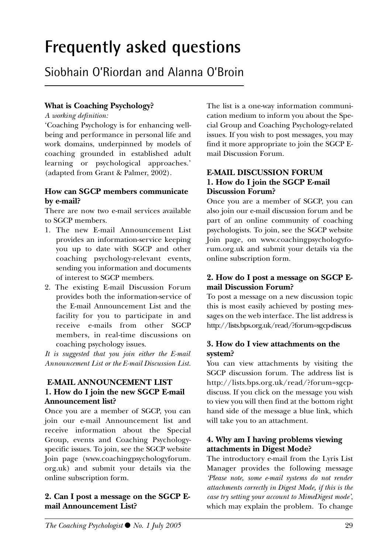## **Frequently asked questions**

### Siobhain O'Riordan and Alanna O'Broin

#### **What is Coaching Psychology?**

*A working definition:*

'Coaching Psychology is for enhancing wellbeing and performance in personal life and work domains, underpinned by models of coaching grounded in established adult learning or psychological approaches.' (adapted from Grant & Palmer, 2002).

#### **How can SGCP members communicate by e-mail?**

There are now two e-mail services available to SGCP members.

- 1. The new E-mail Announcement List provides an information-service keeping you up to date with SGCP and other coaching psychology-relevant events, sending you information and documents of interest to SGCP members.
- 2. The existing E-mail Discussion Forum provides both the information-service of the E-mail Announcement List and the facility for you to participate in and receive e-mails from other SGCP members, in real-time discussions on coaching psychology issues.

*It is suggested that you join either the E-mail Announcement List or the E-mail Discussion List.*

#### **E-MAIL ANNOUNCEMENT LIST 1. How do I join the new SGCP E-mail Announcement list?**

Once you are a member of SGCP, you can join our e-mail Announcement list and receive information about the Special Group, events and Coaching Psychologyspecific issues. To join, see the SGCP website Join page (www.coachingpsychologyforum. org.uk) and submit your details via the online subscription form.

#### **2. Can I post a message on the SGCP Email Announcement List?**

The list is a one-way information communication medium to inform you about the Special Group and Coaching Psychology-related issues. If you wish to post messages, you may find it more appropriate to join the SGCP Email Discussion Forum.

#### **E-MAIL DISCUSSION FORUM 1. How do I join the SGCP E-mail Discussion Forum?**

Once you are a member of SGCP, you can also join our e-mail discussion forum and be part of an online community of coaching psychologists. To join, see the SGCP website Join page, on www.coachingpsychologyforum.org.uk and submit your details via the online subscription form.

#### **2. How do I post a message on SGCP Email Discussion Forum?**

To post a message on a new discussion topic this is most easily achieved by posting messages on the web interface. The list address is http://lists.bps.org.uk/read/?forum=sgcp-discuss

#### **3. How do I view attachments on the system?**

You can view attachments by visiting the SGCP discussion forum. The address list is http://lists.bps.org.uk/read/?forum=sgcpdiscuss. If you click on the message you wish to view you will then find at the bottom right hand side of the message a blue link, which will take you to an attachment.

#### **4. Why am I having problems viewing attachments in Digest Mode?**

The introductory e-mail from the Lyris List Manager provides the following message *'Please note, some e-mail systems do not render attachments correctly in Digest Mode, if this is the case try setting your account to MimeDigest mode'*, which may explain the problem. To change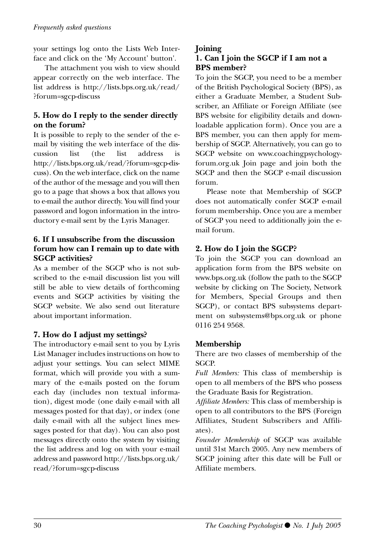your settings log onto the Lists Web Interface and click on the 'My Account' button'.

The attachment you wish to view should appear correctly on the web interface. The list address is http://lists.bps.org.uk/read/ ?forum=sgcp-discuss

#### **5. How do I reply to the sender directly on the forum?**

It is possible to reply to the sender of the email by visiting the web interface of the discussion list (the list address is http://lists.bps.org.uk/read/?forum=sgcp-discuss). On the web interface, click on the name of the author of the message and you will then go to a page that shows a box that allows you to e-mail the author directly. You will find your password and logon information in the introductory e-mail sent by the Lyris Manager.

#### **6. If I unsubscribe from the discussion forum how can I remain up to date with SGCP activities?**

As a member of the SGCP who is not subscribed to the e-mail discussion list you will still be able to view details of forthcoming events and SGCP activities by visiting the SGCP website. We also send out literature about important information.

#### **7. How do I adjust my settings?**

The introductory e-mail sent to you by Lyris List Manager includes instructions on how to adjust your settings. You can select MIME format, which will provide you with a summary of the e-mails posted on the forum each day (includes non textual information), digest mode (one daily e-mail with all messages posted for that day), or index (one daily e-mail with all the subject lines messages posted for that day). You can also post messages directly onto the system by visiting the list address and log on with your e-mail address and password http://lists.bps.org.uk/ read/?forum=sgcp-discuss

#### **Joining**

#### **1. Can I join the SGCP if I am not a BPS member?**

To join the SGCP, you need to be a member of the British Psychological Society (BPS), as either a Graduate Member, a Student Subscriber, an Affiliate or Foreign Affiliate (see BPS website for eligibility details and downloadable application form). Once you are a BPS member, you can then apply for membership of SGCP. Alternatively, you can go to SGCP website on www.coachingpsychologyforum.org.uk Join page and join both the SGCP and then the SGCP e-mail discussion forum.

Please note that Membership of SGCP does not automatically confer SGCP e-mail forum membership. Once you are a member of SGCP you need to additionally join the email forum.

#### **2. How do I join the SGCP?**

To join the SGCP you can download an application form from the BPS website on www.bps.org.uk (follow the path to the SGCP website by clicking on The Society, Network for Members, Special Groups and then SGCP), or contact BPS subsystems department on subsystems@bps.org.uk or phone 0116 254 9568.

#### **Membership**

There are two classes of membership of the SGCP.

*Full Members:* This class of membership is open to all members of the BPS who possess the Graduate Basis for Registration.

*Affiliate Members:* This class of membership is open to all contributors to the BPS (Foreign Affiliates, Student Subscribers and Affiliates).

*Founder Membership* of SGCP was available until 31st March 2005. Any new members of SGCP joining after this date will be Full or Affiliate members.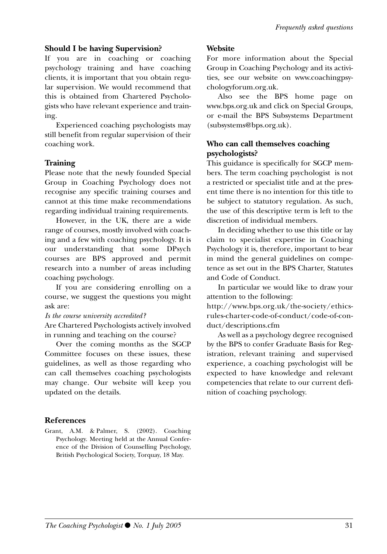#### **Should I be having Supervision?**

If you are in coaching or coaching psychology training and have coaching clients, it is important that you obtain regular supervision. We would recommend that this is obtained from Chartered Psychologists who have relevant experience and training.

Experienced coaching psychologists may still benefit from regular supervision of their coaching work.

#### **Training**

Please note that the newly founded Special Group in Coaching Psychology does not recognise any specific training courses and cannot at this time make recommendations regarding individual training requirements.

However, in the UK, there are a wide range of courses, mostly involved with coaching and a few with coaching psychology. It is our understanding that some DPsych courses are BPS approved and permit research into a number of areas including coaching psychology.

If you are considering enrolling on a course, we suggest the questions you might ask are:

#### *Is the course university accredited?*

Are Chartered Psychologists actively involved in running and teaching on the course?

Over the coming months as the SGCP Committee focuses on these issues, these guidelines, as well as those regarding who can call themselves coaching psychologists may change. Our website will keep you updated on the details.

#### **Website**

For more information about the Special Group in Coaching Psychology and its activities, see our website on www.coachingpsychologyforum.org.uk.

Also see the BPS home page on www.bps.org.uk and click on Special Groups, or e-mail the BPS Subsystems Department (subsystems@bps.org.uk).

#### **Who can call themselves coaching psychologists?**

This guidance is specifically for SGCP members. The term coaching psychologist is not a restricted or specialist title and at the present time there is no intention for this title to be subject to statutory regulation. As such, the use of this descriptive term is left to the discretion of individual members.

In deciding whether to use this title or lay claim to specialist expertise in Coaching Psychology it is, therefore, important to bear in mind the general guidelines on competence as set out in the BPS Charter, Statutes and Code of Conduct.

In particular we would like to draw your attention to the following:

http://www.bps.org.uk/the-society/ethicsrules-charter-code-of-conduct/code-of-conduct/descriptions.cfm

As well as a psychology degree recognised by the BPS to confer Graduate Basis for Registration, relevant training and supervised experience, a coaching psychologist will be expected to have knowledge and relevant competencies that relate to our current definition of coaching psychology.

#### **References**

Grant, A.M. & Palmer, S. (2002). Coaching Psychology. Meeting held at the Annual Conference of the Division of Counselling Psychology, British Psychological Society, Torquay, 18 May.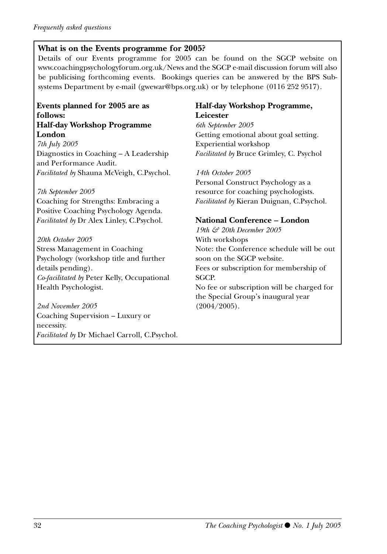#### **What is on the Events programme for 2005?**

Details of our Events programme for 2005 can be found on the SGCP website on www.coachingpsychologyforum.org.uk/News and the SGCP e-mail discussion forum will also be publicising forthcoming events. Bookings queries can be answered by the BPS Subsystems Department by e-mail (gwewar@bps.org.uk) or by telephone (0116 252 9517).

#### **Events planned for 2005 are as follows: Half-day Workshop Programme**

**London** *7th July 2005* Diagnostics in Coaching – A Leadership and Performance Audit. *Facilitated by* Shauna McVeigh, C.Psychol.

*7th September 2005* Coaching for Strengths: Embracing a Positive Coaching Psychology Agenda. *Facilitated by* Dr Alex Linley, C.Psychol.

*20th October 2005*  Stress Management in Coaching Psychology (workshop title and further details pending). *Co-facilitated by* Peter Kelly, Occupational Health Psychologist.

*2nd November 2005* Coaching Supervision – Luxury or necessity. *Facilitated by* Dr Michael Carroll, C.Psychol.

#### **Half-day Workshop Programme, Leicester**

*6th September 2005*  Getting emotional about goal setting. Experiential workshop *Facilitated by* Bruce Grimley, C. Psychol

*14th October 2005* Personal Construct Psychology as a resource for coaching psychologists. *Facilitated by* Kieran Duignan, C.Psychol.

#### **National Conference – London**

*19th & 20th December 2005*  With workshops Note: the Conference schedule will be out soon on the SGCP website. Fees or subscription for membership of SGCP. No fee or subscription will be charged for the Special Group's inaugural year (2004/2005).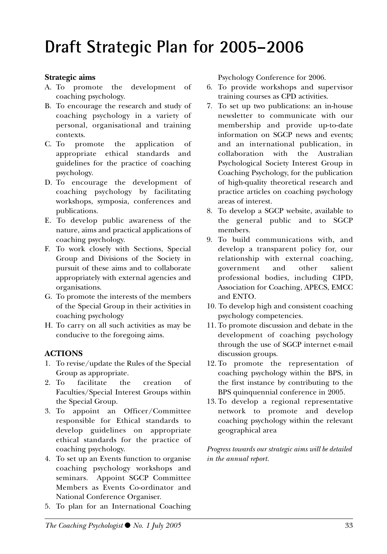## **Draft Strategic Plan for 2005–2006**

#### **Strategic aims**

- A. To promote the development of coaching psychology.
- B. To encourage the research and study of coaching psychology in a variety of personal, organisational and training contexts.
- C. To promote the application of appropriate ethical standards and guidelines for the practice of coaching psychology.
- D. To encourage the development of coaching psychology by facilitating workshops, symposia, conferences and publications.
- E. To develop public awareness of the nature, aims and practical applications of coaching psychology.
- F. To work closely with Sections, Special Group and Divisions of the Society in pursuit of these aims and to collaborate appropriately with external agencies and organisations.
- G. To promote the interests of the members of the Special Group in their activities in coaching psychology
- H. To carry on all such activities as may be conducive to the foregoing aims.

#### **ACTIONS**

- 1. To revise/update the Rules of the Special Group as appropriate.
- 2. To facilitate the creation of Faculties/Special Interest Groups within the Special Group.
- 3. To appoint an Officer/Committee responsible for Ethical standards to develop guidelines on appropriate ethical standards for the practice of coaching psychology.
- 4. To set up an Events function to organise coaching psychology workshops and seminars. Appoint SGCP Committee Members as Events Co-ordinator and National Conference Organiser.
- 5. To plan for an International Coaching

Psychology Conference for 2006.

- 6. To provide workshops and supervisor training courses as CPD activities.
- 7. To set up two publications: an in-house newsletter to communicate with our membership and provide up-to-date information on SGCP news and events; and an international publication, in collaboration with the Australian Psychological Society Interest Group in Coaching Psychology, for the publication of high-quality theoretical research and practice articles on coaching psychology areas of interest.
- 8. To develop a SGCP website, available to the general public and to SGCP members.
- 9. To build communications with, and develop a transparent policy for, our relationship with external coaching, government and other salient professional bodies, including CIPD, Association for Coaching, APECS, EMCC and ENTO.
- 10. To develop high and consistent coaching psychology competencies.
- 11. To promote discussion and debate in the development of coaching psychology through the use of SGCP internet e-mail discussion groups.
- 12. To promote the representation of coaching psychology within the BPS, in the first instance by contributing to the BPS quinquennial conference in 2005.
- 13. To develop a regional representative network to promote and develop coaching psychology within the relevant geographical area

*Progress towards our strategic aims will be detailed in the annual report.*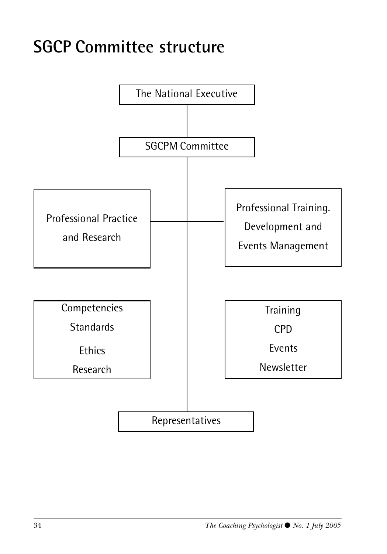## **SGCP Committee structure**

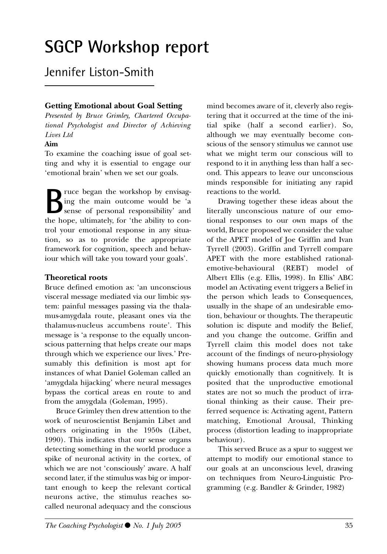## **SGCP Workshop report**

### Jennifer Liston-Smith

#### **Getting Emotional about Goal Setting**

*Presented by Bruce Grimley, Chartered Occupational Psychologist and Director of Achieving Lives Ltd*

#### **Aim**

To examine the coaching issue of goal setting and why it is essential to engage our 'emotional brain' when we set our goals.

ruce began the workshop by envisaging the main outcome would be 'a sense of personal responsibility' and the hope, ultimately, for 'the ability to control your emotional response in any situation, so as to provide the appropriate framework for cognition, speech and behaviour which will take you toward your goals'.

#### **Theoretical roots**

Bruce defined emotion as: 'an unconscious visceral message mediated via our limbic system: painful messages passing via the thalamus-amygdala route, pleasant ones via the thalamus-nucleus accumbens route'. This message is 'a response to the equally unconscious patterning that helps create our maps through which we experience our lives.' Presumably this definition is most apt for instances of what Daniel Goleman called an 'amygdala hijacking' where neural messages bypass the cortical areas en route to and from the amygdala (Goleman, 1995).

Bruce Grimley then drew attention to the work of neuroscientist Benjamin Libet and others originating in the 1950s (Libet, 1990). This indicates that our sense organs detecting something in the world produce a spike of neuronal activity in the cortex, of which we are not 'consciously' aware. A half second later, if the stimulus was big or important enough to keep the relevant cortical neurons active, the stimulus reaches socalled neuronal adequacy and the conscious mind becomes aware of it, cleverly also registering that it occurred at the time of the initial spike (half a second earlier). So, although we may eventually become conscious of the sensory stimulus we cannot use what we might term our conscious will to respond to it in anything less than half a second. This appears to leave our unconscious minds responsible for initiating any rapid reactions to the world.

Drawing together these ideas about the literally unconscious nature of our emotional responses to our own maps of the world, Bruce proposed we consider the value of the APET model of Joe Griffin and Ivan Tyrrell (2003). Griffin and Tyrrell compare APET with the more established rationalemotive-behavioural (REBT) model of Albert Ellis (e.g. Ellis, 1998). In Ellis' ABC model an Activating event triggers a Belief in the person which leads to Consequences, usually in the shape of an undesirable emotion, behaviour or thoughts. The therapeutic solution is: dispute and modify the Belief, and you change the outcome. Griffin and Tyrrell claim this model does not take account of the findings of neuro-physiology showing humans process data much more quickly emotionally than cognitively. It is posited that the unproductive emotional states are not so much the product of irrational thinking as their cause. Their preferred sequence is: Activating agent, Pattern matching, Emotional Arousal, Thinking process (distortion leading to inappropriate behaviour).

This served Bruce as a spur to suggest we attempt to modify our emotional stance to our goals at an unconscious level, drawing on techniques from Neuro-Linguistic Programming (e.g. Bandler & Grinder, 1982)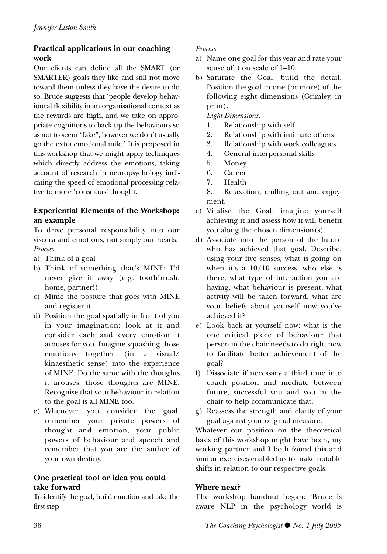#### **Practical applications in our coaching work**

Our clients can define all the SMART (or SMARTER) goals they like and still not move toward them unless they have the desire to do so. Bruce suggests that 'people develop behavioural flexibility in an organisational context as the rewards are high, and we take on appropriate cognitions to back up the behaviours so as not to seem "fake"; however we don't usually go the extra emotional mile.' It is proposed in this workshop that we might apply techniques which directly address the emotions, taking account of research in neuropsychology indicating the speed of emotional processing relative to more 'conscious' thought.

#### **Experiential Elements of the Workshop: an example**

To drive personal responsibility into our viscera and emotions, not simply our heads: *Process*

- a) Think of a goal
- b) Think of something that's MINE: I'd never give it away (e.g. toothbrush, home, partner!)
- c) Mime the posture that goes with MINE and register it
- d) Position the goal spatially in front of you in your imagination: look at it and consider each and every emotion it arouses for you. Imagine squashing those emotions together (in a visual/ kinaesthetic sense) into the experience of MINE. Do the same with the thoughts it arouses: those thoughts are MINE. Recognise that your behaviour in relation to the goal is all MINE too.
- e) Whenever you consider the goal, remember your private powers of thought and emotion, your public powers of behaviour and speech and remember that you are the author of your own destiny.

#### **One practical tool or idea you could take forward**

To identify the goal, build emotion and take the first step

#### *Process*

- a) Name one goal for this year and rate your sense of it on scale of 1–10.
- b) Saturate the Goal: build the detail. Position the goal in one (or more) of the following eight dimensions (Grimley, in print).

*Eight Dimensions:*

- 1. Relationship with self
- 2. Relationship with intimate others
- 3. Relationship with work colleagues
- 4. General interpersonal skills
- 5. Money
- 6. Career
- 7. Health
- 8. Relaxation, chilling out and enjoyment.
- c) Vitalise the Goal: imagine yourself achieving it and assess how it will benefit you along the chosen dimension(s).
- d) Associate into the person of the future who has achieved that goal. Describe, using your five senses, what is going on when it's a 10/10 success, who else is there, what type of interaction you are having, what behaviour is present, what activity will be taken forward, what are your beliefs about yourself now you've achieved it?
- e) Look back at yourself now: what is the one critical piece of behaviour that person in the chair needs to do right now to facilitate better achievement of the goal?
- f) Dissociate if necessary a third time into coach position and mediate between future, successful you and you in the chair to help communicate that.
- g) Reassess the strength and clarity of your goal against your original measure.

Whatever our position on the theoretical basis of this workshop might have been, my working partner and I both found this and similar exercises enabled us to make notable shifts in relation to our respective goals.

#### **Where next?**

The workshop handout began: 'Bruce is aware NLP in the psychology world is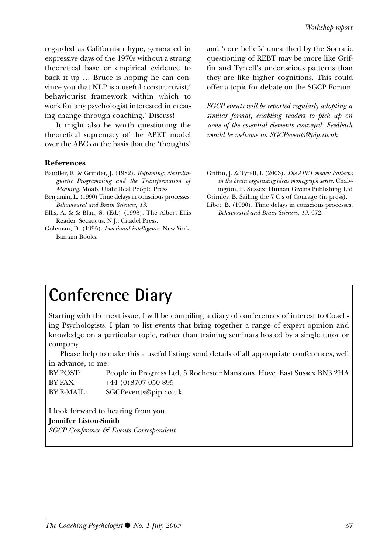regarded as Californian hype, generated in expressive days of the 1970s without a strong theoretical base or empirical evidence to back it up … Bruce is hoping he can convince you that NLP is a useful constructivist/ behaviourist framework within which to work for any psychologist interested in creating change through coaching.' Discuss!

It might also be worth questioning the theoretical supremacy of the APET model over the ABC on the basis that the 'thoughts'

#### **References**

- Bandler, R. & Grinder, J. (1982). *Reframing: Neurolinguistic Programming and the Transformation of Meaning.* Moab, Utah: Real People Press
- Benjamin, L. (1990) Time delays in conscious processes. *Behavioural and Brain Sciences, 13*.
- Ellis, A. & & Blau, S. (Ed.) (1998). The Albert Ellis Reader. Secaucus, N.J.: Citadel Press.
- Goleman, D. (1995). *Emotional intelligence.* New York: Bantam Books.

and 'core beliefs' unearthed by the Socratic questioning of REBT may be more like Griffin and Tyrrell's unconscious patterns than they are like higher cognitions. This could offer a topic for debate on the SGCP Forum.

*SGCP events will be reported regularly adopting a similar format, enabling readers to pick up on some of the essential elements conveyed. Feedback would be welcome to: SGCPevents@pip.co.uk*

- Griffin, J. & Tyrell, I. (2003). *The APET model: Patterns in the brain organising ideas monograph series.* Chalvington, E. Sussex: Human Givens Publishing Ltd
- Grimley, B. Sailing the 7 C's of Courage (in press).
- Libet, B. (1990). Time delays in conscious processes. *Behavioural and Brain Sciences, 13,* 672.

### **Conference Diary**

Starting with the next issue, I will be compiling a diary of conferences of interest to Coaching Psychologists. I plan to list events that bring together a range of expert opinion and knowledge on a particular topic, rather than training seminars hosted by a single tutor or company.

Please help to make this a useful listing: send details of all appropriate conferences, well in advance, to me:

| BY POST:          | People in Progress Ltd, 5 Rochester Mansions, Hove, East Sussex BN3 2HA |
|-------------------|-------------------------------------------------------------------------|
| <b>BY FAX:</b>    | +44 (0)8707 050 895                                                     |
| <b>BY E-MAIL:</b> | SGCP events@pip.co.uk                                                   |

I look forward to hearing from you. **Jennifer Liston-Smith** *SGCP Conference & Events Correspondent*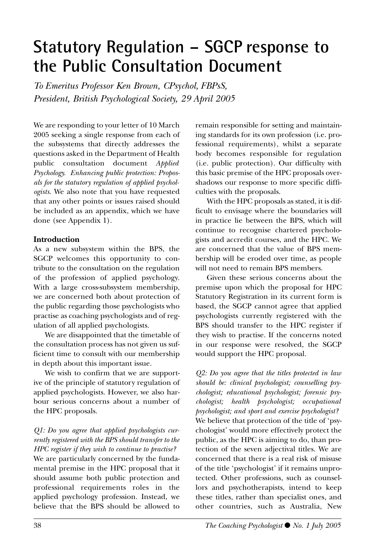### **Statutory Regulation – SGCP response to the Public Consultation Document**

*To Emeritus Professor Ken Brown, CPsychol, FBPsS, President, British Psychological Society, 29 April 2005*

We are responding to your letter of 10 March 2005 seeking a single response from each of the subsystems that directly addresses the questions asked in the Department of Health public consultation document *Applied Psychology. Enhancing public protection: Proposals for the statutory regulation of applied psychologists*. We also note that you have requested that any other points or issues raised should be included as an appendix, which we have done (see Appendix 1).

#### **Introduction**

As a new subsystem within the BPS, the SGCP welcomes this opportunity to contribute to the consultation on the regulation of the profession of applied psychology. With a large cross-subsystem membership, we are concerned both about protection of the public regarding those psychologists who practise as coaching psychologists and of regulation of all applied psychologists.

We are disappointed that the timetable of the consultation process has not given us sufficient time to consult with our membership in depth about this important issue.

We wish to confirm that we are supportive of the principle of statutory regulation of applied psychologists. However, we also harbour serious concerns about a number of the HPC proposals.

#### *Q1: Do you agree that applied psychologists currently registered with the BPS should transfer to the HPC register if they wish to continue to practise?*

We are particularly concerned by the fundamental premise in the HPC proposal that it should assume both public protection and professional requirements roles in the applied psychology profession. Instead, we believe that the BPS should be allowed to remain responsible for setting and maintaining standards for its own profession (i.e. professional requirements), whilst a separate body becomes responsible for regulation (i.e. public protection). Our difficulty with this basic premise of the HPC proposals overshadows our response to more specific difficulties with the proposals.

With the HPC proposals as stated, it is difficult to envisage where the boundaries will in practice lie between the BPS, which will continue to recognise chartered psychologists and accredit courses, and the HPC. We are concerned that the value of BPS membership will be eroded over time, as people will not need to remain BPS members.

Given these serious concerns about the premise upon which the proposal for HPC Statutory Registration in its current form is based, the SGCP cannot agree that applied psychologists currently registered with the BPS should transfer to the HPC register if they wish to practise. If the concerns noted in our response were resolved, the SGCP would support the HPC proposal.

*Q2: Do you agree that the titles protected in law should be: clinical psychologist; counselling psychologist; educational psychologist; forensic psychologist; health psychologist; occupational psychologist; and sport and exercise psychologist?* We believe that protection of the title of 'psychologist' would more effectively protect the public, as the HPC is aiming to do, than protection of the seven adjectival titles. We are concerned that there is a real risk of misuse of the title 'psychologist' if it remains unprotected. Other professions, such as counsellors and psychotherapists, intend to keep these titles, rather than specialist ones, and other countries, such as Australia, New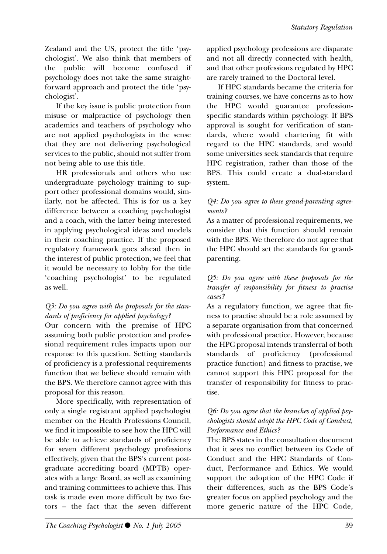Zealand and the US, protect the title 'psychologist'. We also think that members of the public will become confused if psychology does not take the same straightforward approach and protect the title 'psychologist'.

If the key issue is public protection from misuse or malpractice of psychology then academics and teachers of psychology who are not applied psychologists in the sense that they are not delivering psychological services to the public, should not suffer from not being able to use this title.

HR professionals and others who use undergraduate psychology training to support other professional domains would, similarly, not be affected. This is for us a key difference between a coaching psychologist and a coach, with the latter being interested in applying psychological ideas and models in their coaching practice. If the proposed regulatory framework goes ahead then in the interest of public protection, we feel that it would be necessary to lobby for the title 'coaching psychologist' to be regulated as well.

#### *Q3: Do you agree with the proposals for the standards of proficiency for applied psychology?*

Our concern with the premise of HPC assuming both public protection and professional requirement rules impacts upon our response to this question. Setting standards of proficiency is a professional requirements function that we believe should remain with the BPS. We therefore cannot agree with this proposal for this reason.

More specifically, with representation of only a single registrant applied psychologist member on the Health Professions Council, we find it impossible to see how the HPC will be able to achieve standards of proficiency for seven different psychology professions effectively, given that the BPS's current postgraduate accrediting board (MPTB) operates with a large Board, as well as examining and training committees to achieve this. This task is made even more difficult by two factors – the fact that the seven different applied psychology professions are disparate and not all directly connected with health, and that other professions regulated by HPC are rarely trained to the Doctoral level.

If HPC standards became the criteria for training courses, we have concerns as to how the HPC would guarantee professionspecific standards within psychology. If BPS approval is sought for verification of standards, where would chartering fit with regard to the HPC standards, and would some universities seek standards that require HPC registration, rather than those of the BPS. This could create a dual-standard system.

#### *Q4: Do you agree to these grand-parenting agreements?*

As a matter of professional requirements, we consider that this function should remain with the BPS. We therefore do not agree that the HPC should set the standards for grandparenting.

#### *Q5: Do you agree with these proposals for the transfer of responsibility for fitness to practise cases?*

As a regulatory function, we agree that fitness to practise should be a role assumed by a separate organisation from that concerned with professional practice. However, because the HPC proposal intends transferral of both standards of proficiency (professional practice function) and fitness to practise, we cannot support this HPC proposal for the transfer of responsibility for fitness to practise.

#### *Q6: Do you agree that the branches of applied psychologists should adopt the HPC Code of Conduct, Performance and Ethics?*

The BPS states in the consultation document that it sees no conflict between its Code of Conduct and the HPC Standards of Conduct, Performance and Ethics. We would support the adoption of the HPC Code if their differences, such as the BPS Code's greater focus on applied psychology and the more generic nature of the HPC Code,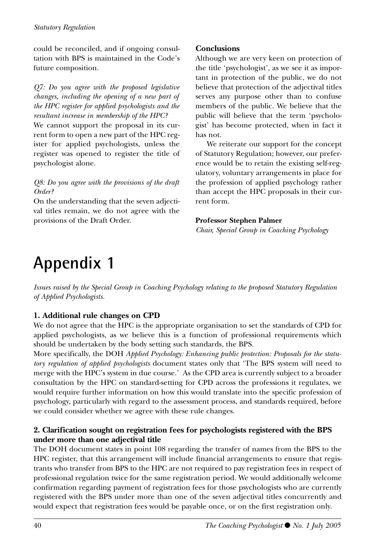could be reconciled, and if ongoing consultation with BPS is maintained in the Code's future composition.

*Q7: Do you agree with the proposed legislative changes, including the opening of a new part of the HPC register for applied psychologists and the resultant increase in membership of the HPC?*

We cannot support the proposal in its current form to open a new part of the HPC register for applied psychologists, unless the register was opened to register the title of psychologist alone.

#### *Q8: Do you agree with the provisions of the draft Order?*

On the understanding that the seven adjectival titles remain, we do not agree with the provisions of the Draft Order.

#### **Conclusions**

Although we are very keen on protection of the title 'psychologist', as we see it as important in protection of the public, we do not believe that protection of the adjectival titles serves any purpose other than to confuse members of the public. We believe that the public will believe that the term 'psychologist' has become protected, when in fact it has not.

We reiterate our support for the concept of Statutory Regulation; however, our preference would be to retain the existing self-regulatory, voluntary arrangements in place for the profession of applied psychology rather than accept the HPC proposals in their current form.

#### **Professor Stephen Palmer**

*Chair, Special Group in Coaching Psychology*

## **Appendix 1**

*Issues raised by the Special Group in Coaching Psychology relating to the proposed Statutory Regulation of Applied Psychologists.*

#### **1. Additional rule changes on CPD**

We do not agree that the HPC is the appropriate organisation to set the standards of CPD for applied psychologists, as we believe this is a function of professional requirements which should be undertaken by the body setting such standards, the BPS.

More specifically, the DOH *Applied Psychology: Enhancing public protection: Proposals for the statutory regulation of applied psychologists* document states only that 'The BPS system will need to merge with the HPC's system in due course.' As the CPD area is currently subject to a broader consultation by the HPC on standard-setting for CPD across the professions it regulates, we would require further information on how this would translate into the specific profession of psychology, particularly with regard to the assessment process, and standards required, before we could consider whether we agree with these rule changes.

#### **2. Clarification sought on registration fees for psychologists registered with the BPS under more than one adjectival title**

The DOH document states in point 108 regarding the transfer of names from the BPS to the HPC register, that this arrangement will include financial arrangements to ensure that registrants who transfer from BPS to the HPC are not required to pay registration fees in respect of professional regulation twice for the same registration period. We would additionally welcome confirmation regarding payment of registration fees for those psychologists who are currently registered with the BPS under more than one of the seven adjectival titles concurrently and would expect that registration fees would be payable once, or on the first registration only.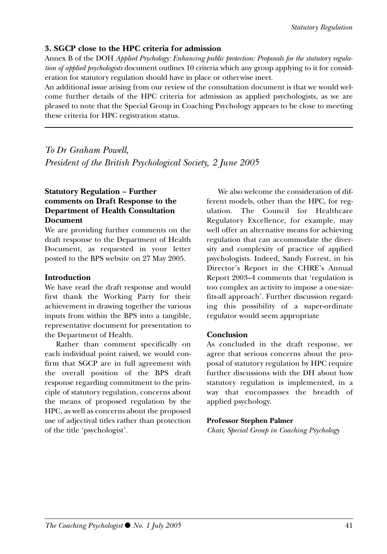#### **3. SGCP close to the HPC criteria for admission**

Annex B of the DOH *Applied Psychology: Enhancing public protection: Proposals for the statutory regulation of applied psychologists* document outlines 10 criteria which any group applying to it for consideration for statutory regulation should have in place or otherwise meet.

An additional issue arising from our review of the consultation document is that we would welcome further details of the HPC criteria for admission as applied psychologists, as we are pleased to note that the Special Group in Coaching Psychology appears to be close to meeting these criteria for HPC registration status.

*To Dr Graham Powell, President of the British Psychological Society, 2 June 2005*

#### **Statutory Regulation – Further comments on Draft Response to the Department of Health Consultation Document**

We are providing further comments on the draft response to the Department of Health Document, as requested in your letter posted to the BPS website on 27 May 2005.

#### **Introduction**

We have read the draft response and would first thank the Working Party for their achievement in drawing together the various inputs from within the BPS into a tangible, representative document for presentation to the Department of Health.

Rather than comment specifically on each individual point raised, we would confirm that SGCP are in full agreement with the overall position of the BPS draft response regarding commitment to the principle of statutory regulation, concerns about the means of proposed regulation by the HPC, as well as concerns about the proposed use of adjectival titles rather than protection of the title 'psychologist'.

We also welcome the consideration of different models, other than the HPC, for regulation. The Council for Healthcare Regulatory Excellence, for example, may well offer an alternative means for achieving regulation that can accommodate the diversity and complexity of practice of applied psychologists. Indeed, Sandy Forrest, in his Director's Report in the CHRE's Annual Report 2003–4 comments that 'regulation is too complex an activity to impose a one-sizefits-all approach'. Further discussion regarding this possibility of a super-ordinate regulator would seem appropriate

#### **Conclusion**

As concluded in the draft response, we agree that serious concerns about the proposal of statutory regulation by HPC require further discussions with the DH about how statutory regulation is implemented, in a way that encompasses the breadth of applied psychology.

#### **Professor Stephen Palmer**

*Chair, Special Group in Coaching Psychology*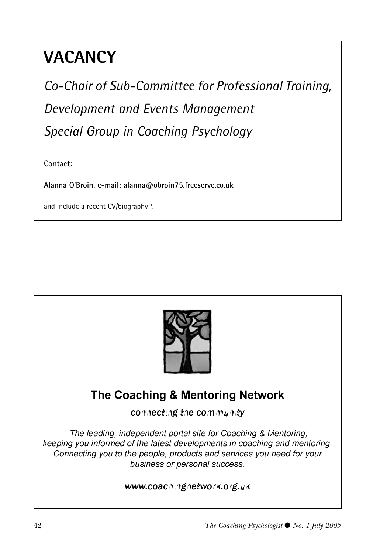## **VACANCY**

*Co-Chair of Sub-Committee for Professional Training, Development and Events Management Special Group in Coaching Psychology*

Contact:

**Alanna O'Broin, e-mail: alanna@obroin75.freeserve.co.uk** 

and include a recent CV/biographyP.



### **The Coaching & Mentoring Network**

connecting the community

*The leading, independent portal site for Coaching & Mentoring, keeping you informed of the latest developments in coaching and mentoring.* Connecting you to the people, products and services you need for your business or personal success.

www.coachingnetwork.org.uk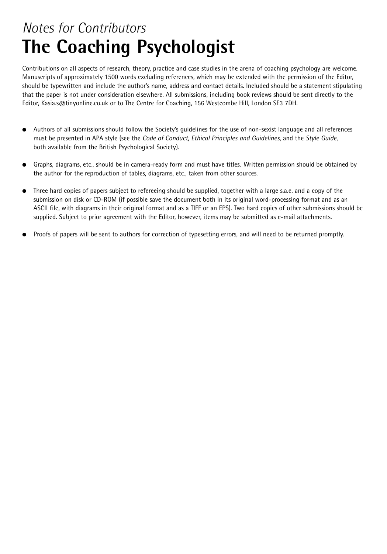### *Notes for Contributors*  **The Coaching Psychologist**

Contributions on all aspects of research, theory, practice and case studies in the arena of coaching psychology are welcome. Manuscripts of approximately 1500 words excluding references, which may be extended with the permission of the Editor, should be typewritten and include the author's name, address and contact details. Included should be a statement stipulating that the paper is not under consideration elsewhere. All submissions, including book reviews should be sent directly to the Editor, Kasia.s@tinyonline.co.uk or to The Centre for Coaching, 156 Westcombe Hill, London SE3 7DH.

- Authors of all submissions should follow the Society's quidelines for the use of non-sexist language and all references must be presented in APA style (see the *Code of Conduct, Ethical Principles and Guidelines*, and the *Style Guide*, both available from the British Psychological Society).
- Graphs, diagrams, etc., should be in camera-ready form and must have titles. Written permission should be obtained by the author for the reproduction of tables, diagrams, etc., taken from other sources.
- Three hard copies of papers subject to refereeing should be supplied, together with a large s.a.e. and a copy of the submission on disk or CD-ROM (if possible save the document both in its original word-processing format and as an ASCII file, with diagrams in their original format and as a TIFF or an EPS). Two hard copies of other submissions should be supplied. Subject to prior agreement with the Editor, however, items may be submitted as e-mail attachments.
- Proofs of papers will be sent to authors for correction of typesetting errors, and will need to be returned promptly.